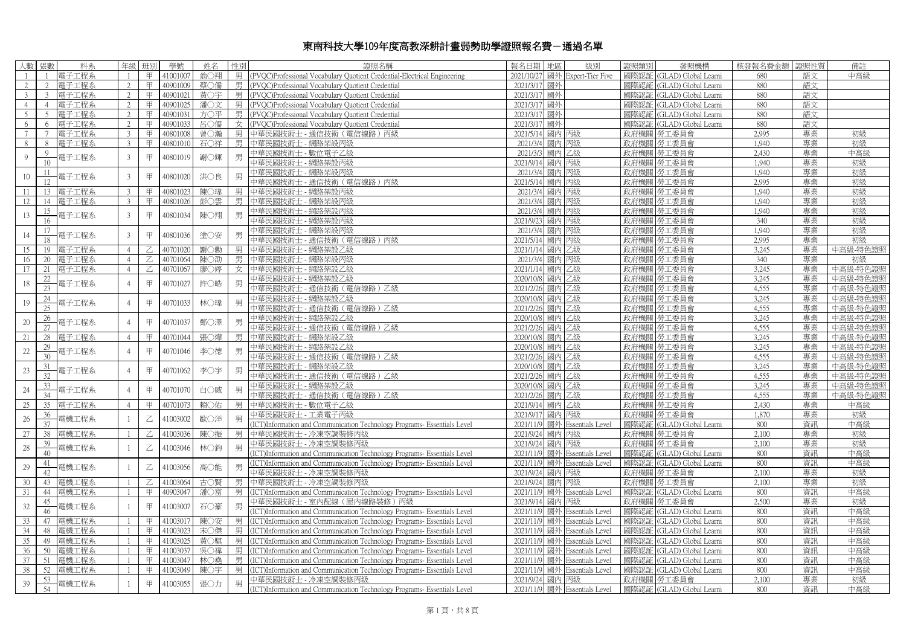## 東南科技大學109年度高教深耕計畫弱勢助學證照報名費-通過名單

| 人數<br>張數                         | 科系      | 年級             | 班別             | 學號       | 姓名  | 性別 | 證照名稱                                                                     | 地區<br>级別<br>報名日期                  | 證照類別 | 發照機構                      | 核發報名費金額 | 諮昭件質     | 備註                   |
|----------------------------------|---------|----------------|----------------|----------|-----|----|--------------------------------------------------------------------------|-----------------------------------|------|---------------------------|---------|----------|----------------------|
|                                  | 電子工程系   | $\overline{1}$ | 甲              | 41001007 | 翁○翔 | 男  | (PVOC)Professional Vocabulary Ouotient Credential-Electrical Engineering | 2021/10/27<br>國外 Expert-Tier Five | 國際認証 | (GLAD) Global Learni      | 680     | 語文       | 中高級                  |
| $\gamma$                         | 電子工程系   | $\mathcal{D}$  | 甲              | 40901009 | 蔡○儒 | 男  | (PVOC)Professional Vocabulary Quotient Credential                        | 2021/3/17<br>國外                   | 國際認証 | (GLAD) Global Learni      | 880     | 語文       |                      |
| $\overline{3}$<br>$\mathcal{L}$  | 電子工程系   | $\mathfrak{D}$ | 甲              | 40901021 | 黃○宇 | 男  | (PVOC)Professional Vocabulary Ouotient Credential                        | 國外<br>2021/3/17                   | 國際認証 | (GLAD) Global Learni      | 880     | 語文       |                      |
| $\overline{4}$<br>$\overline{4}$ | 電子工程系   | $2^{1}$        | 甲              | 40901025 | 潘〇文 | 男  | (PVQC)Professional Vocabulary Quotient Credential                        | 國外<br>2021/3/17                   | 國際認証 | (GLAD) Global Learni      | 880     | 語文       |                      |
| 5 <sup>1</sup><br>$\overline{5}$ | 電子工程系   | $\mathfrak{D}$ | 甲              | 40901031 | 方〇平 | 男  | (PVOC)Professional Vocabulary Quotient Credential                        | 國外<br>2021/3/17                   | 國際認証 | (GLAD) Global Learni      | 880     | 語文       |                      |
| 6                                | 6 電子工程系 | $\mathfrak{D}$ | 甲              | 40901033 | 呂〇儒 | 女  | (PVQC)Professional Vocabulary Quotient Credential                        | 國外<br>2021/3/17                   | 國際認証 | (GLAD) Global Learni      | 880     | 語文       |                      |
| $\tau$<br>$7\phantom{.0}$        | 電子工程系   | 3              | 甲              | 40801008 | 曾○瀚 | 男  | 中華民國技術士 - 通信技術 (電信線路) 丙級                                                 | 2021/5/14<br>國內丙級                 |      | 政府機關 勞工委員會                | 2.995   | 專業       | 初級                   |
| 8<br>8                           | 電子工程系   | 3              | 甲              | 40801010 | 石〇祥 | 男  | 中華民國技術士 - 網路架設丙級                                                         | 國內丙級<br>2021/3/4                  |      | 政府機關 勞工委員會                | 1,940   | 專業       | 初級                   |
| $\mathbf Q$                      |         |                |                |          |     |    | 中華民國技術士 - 數位電子乙級                                                         | 國内乙級<br>2021/3/3                  |      | 政府機關 勞工委員會                | 2.430   | 專業       | 中高級                  |
| 9<br>10                          | 電子工程系   | $\mathfrak{Z}$ | 甲              | 40801019 | 謝○輝 | 男  | 中華民國技術十 - 網路架設丙級                                                         | 2021/9/14<br>國內 丙級                |      | 政府機關 勞工委員會                | 1.940   | 專業       | 初級                   |
| 11                               |         |                |                |          |     |    | 中華民國技術士 - 網路架設丙級                                                         | 國內丙級<br>2021/3/4                  |      | 政府機關 勞工委員會                | 1,940   | 專業       | 初級                   |
| 10<br>12                         | 電子工程系   | 3              | 甲              | 40801020 | 洪〇良 | 男  | 中華民國技術士 - 通信技術 (電信線路) 丙級                                                 | 2021/5/14<br>國內丙級                 |      | 政府機關 勞工委員會                | 2.995   | 專業       | 初級                   |
| 11<br>13                         | 雷子工程系   | 3              | 甲              | 40801023 | 陳○瑋 | 男  | 中華民國技術士 - 網路架設丙級                                                         | 國內丙級<br>2021/3/4                  |      | 政府機關 勞工委員會                | 1.940   | 專業       | 初級                   |
| 12<br>14                         | 電子工程系   | 3              | 甲              | 40801026 | 彭○雲 | 男  | 中華民國技術士 - 網路架設丙級                                                         | 2021/3/4<br>國內丙級                  |      | 政府機關 勞工委員會                | 1,940   | 專業       | 初級                   |
| 15                               |         |                |                |          |     |    | 中華民國技術士 - 網路架設丙級                                                         | 2021/3/4<br>國內丙級                  |      | 政府機關 勞工委員會                | 1,940   | 專業       | 初級                   |
| 13<br>16                         | 電子工程系   | $\mathfrak{Z}$ | 甲              | 40801034 | 陳〇翔 | 男  | 中華民國技術士 - 網路架設丙級                                                         | 國內丙級<br>2021/9/23                 |      | 政府機關 勞工委員會                | 340     | 專業       | 初級                   |
| 17                               |         |                |                |          |     |    | 中華民國技術士 - 網路架設丙級                                                         | 國內丙級<br>2021/3/4                  |      | 政府機關 勞工委員會                | 1,940   | 專業       | 初級                   |
| 14<br>18                         | 電子工程系   | $\mathfrak{Z}$ | 甲              | 40801036 | 塗〇安 | 男  | 中華民國技術十 - 通信技術 ( 電信線路) 丙級                                                | 2021/5/14<br>國內丙級                 |      | 政府機關 勞工委員會                | 2.995   | 專業       | 初級                   |
| 15<br>19                         | 電子工程系   | $\overline{4}$ |                | 40701020 | 謝〇勳 | 男  | 中華民國技術士 - 網路架設乙級                                                         | 國內乙級<br>2021/1/14                 |      | 政府機關 勞工委員會                | 3.245   | 專業       | 中高級-特色證照             |
| 16<br>20                         | 電子工程系   | $\overline{4}$ | $\overline{Z}$ | 40701064 | 陳○劭 | 男  | 中華民國技術士 - 網路架設丙級                                                         | 2021/3/4<br>國內丙級                  |      | 政府機關 勞工委員會                | 340     | 專業       | 初級                   |
| 17<br>21                         | 電子工程系   | $\overline{4}$ | Ζ              | 40701067 | 廖〇婷 | 女  | 中華民國技術士 - 網路架設乙級                                                         | 國內乙級<br>2021/1/14                 |      | 政府機關 勞工委員會                | 3,245   | 專業       | 中高級-特色證照             |
| 22.                              |         |                |                |          |     |    | 中華民國技術士 - 網路架設乙級                                                         | 國內 乙級<br>2020/10/8                |      | 政府機關 勞工委員會                | 3,245   | 專業       | 中高級-特色證照             |
| 18<br>23                         | 電子工程系   | $\overline{4}$ | 甲              | 40701027 | 許○皓 | 男  | 中華民國技術士 - 通信技術 (電信線路) 乙級                                                 | 2021/2/26<br>國內乙級                 |      | 政府機關 勞工委員會                | 4,555   | 專業       | 中高級-特色證照             |
| 24                               |         |                |                |          |     |    | 中華民國技術士 - 網路架設乙級                                                         | 國内乙級<br>2020/10/8                 |      | 政府機關 勞工委員會                | 3.245   | 專業       | 中高級-特色證照             |
| 19<br>25                         | 電子工程系   | $\overline{4}$ | 甲              | 40701033 | 林○瑋 | 男  | 中華民國技術十 - 通信技術 (電信線路) 乙級                                                 | 國內乙級<br>2021/2/26                 |      | 政府機關 勞工委員會                | 4.555   | 專業       | 中高級-特色證照             |
| 26                               |         |                |                |          |     |    | 中華民國技術士 - 網路架設乙級                                                         | 2020/10/8<br>國內乙級                 |      | 政府機關 勞工委員會                | 3,245   | 專業       | 中高級-特色證照             |
| 20<br>27                         | 電子工程系   | $\overline{4}$ | 甲              | 40701037 | 鄭○澤 | 男  | 中華民國技術士 - 通信技術 (電信線路) 乙級                                                 | 2021/2/26<br>國內乙級                 |      | 政府機關 勞工委員會                | 4.555   | 專業       | 中高級-特色證照             |
| 28                               |         | $\overline{4}$ | 甲              | 40701044 | 張○燁 |    | 中華民國技術士 - 網路架設乙級                                                         | 國內 乙級<br>2020/10/8                |      |                           | 3,245   | 專業       | 中高級-特色證照             |
| 21<br>29                         | 電子工程系   |                |                |          |     | 男  | 中華民國技術士 - 網路架設乙級                                                         | 國內乙級<br>2020/10/8                 |      | 政府機關 勞工委員會<br>政府機關 勞工委員會  | 3.245   | 專業       | 中高級-特色證照             |
| $22\,$<br>30                     | 電子工程系   | 4              | 甲              | 40701046 | 李〇德 | 男  |                                                                          |                                   |      |                           | 4,555   | 專業       | 中高級-特色證照             |
|                                  |         |                |                |          |     |    | 中華民國技術士 - 通信技術 (電信線路) 乙級                                                 | 2021/2/26<br>國內 乙級<br>國內 乙級       |      | 政府機關 勞工委員會<br>政府機關 勞工委員會  | 3,245   | 專業       | 中高級-特色證照             |
| 31<br>23<br>32                   | 電子工程系   | 4              | 甲              | 40701062 | 李〇宇 | 男  | 中華民國技術士 - 網路架設乙級                                                         | 2020/10/8                         |      |                           | 4.555   |          |                      |
|                                  |         |                |                |          |     |    | 中華民國技術士 - 通信技術 (電信線路) 乙級                                                 | 國内乙級<br>2021/2/26<br>2020/10/8    |      | 政府機關 勞工委員會                | 3.245   | 專業<br>專業 | 中高級-特色證照             |
| 33<br>24<br>34                   | 電子工程系   |                | 甲              | 40701070 | 白〇威 | 男  | 中華民國技術士 - 網路架設乙級<br>中華民國技術士 - 通信技術 (電信線路) 乙級                             | 國内乙級                              |      | 政府機關 勞工委員會                | 4,555   |          | 中高級-特色證照<br>中高級-特色證照 |
| 35                               |         | $\overline{4}$ | 甲              |          | 賴〇佑 |    |                                                                          | 國內乙級<br>2021/2/26                 |      | 政府機關 勞工委員會                | 2.430   | 專業<br>專業 |                      |
| 25                               | 電子工程系   |                |                | 40701073 |     | 男  | 中華民國技術士 - 數位電子乙級                                                         | 2021/9/14 國內 乙級<br>2021/9/17      |      | 政府機關 勞工委員會                |         | 專業       | 中高級                  |
| 36<br>26                         | 電機工程系   |                | $\overline{C}$ | 41003002 | 歐〇洋 |    | 中華民國技術士 - 工業電子丙級                                                         | 國內丙級                              |      | 政府機關 勞工委員會                | 1,870   |          | 初級                   |
| 37                               |         |                | Z              |          |     |    | (ICT)Information and Communication Technology Programs- Essentials Level | 2021/11/9<br>國外 Essentials Level  | 國際認証 | (GLAD) Global Learni      | 800     | 資訊<br>專業 | 中高級                  |
| 27<br>38                         | 雪機工程系   |                |                | 41003036 | 陳〇振 | 男  | 中華民國技術十 - 冷凍空調裝修丙級                                                       | 2021/9/24<br>國內 丙級                | 政府機關 | 勞工委員會                     | 2,100   |          | 初級                   |
| 39<br>$28\,$<br>40 <sup>2</sup>  | 電機工程系   |                | $\overline{z}$ | 41003046 | 林○鈞 |    | 中華民國技術士 - 冷凍空調裝修丙級                                                       | 國內丙級<br>2021/9/24                 | 政府機關 | 勞工委員會                     | 2.100   | 專業       | 初級                   |
|                                  |         |                |                |          |     |    | (ICT)Information and Communication Technology Programs- Essentials Level | 2021/11/9<br>國外 Essentials Level  | 國際認証 | (GLAD) Global Learni      | 800     | 資訊       | 中高級                  |
| 41<br>29                         | 電機工程系   |                | $\mathbb Z$    | 41003056 | 高〇能 | 男  | (ICT)Information and Communication Technology Programs- Essentials Level | 2021/11/9<br>國外 Essentials Level  | 國際認証 | (GLAD) Global Learni      | 800     | 資訊       | 中高級                  |
| 42                               |         |                |                |          |     |    | 中華民國技術士 - 冷凍空調裝修丙級                                                       | 國內丙級<br>2021/9/24                 | 政府機關 | 勞工委員會                     | 2,100   | 專業       | 初級                   |
| 30<br>43                         | 電機工程系   |                | Z              | 41003064 | 古〇賢 | 男  | 中華民國技術士 - 冷凍空調裝修丙級                                                       | 2021/9/24<br>國內丙級                 | 政府機關 | 勞工委員會                     | 2,100   | 專業       | 初級                   |
| 31<br>44                         | 電機工程系   |                | 甲              | 40903047 | 潘○富 | 男  | (ICT)Information and Communication Technology Programs- Essentials Level | 2021/11/9<br>國外 Essentials Level  | 國際認証 | (GLAD) Global Learni      | 800     | 資訊       | 中高級                  |
| 45<br>32                         | 電機工程系   |                | 甲              | 41003007 | 石〇豪 |    | 中華民國技術士 - 室内配線 (屋内線路裝修) 丙級                                               | 2021/9/14<br>國內 丙級                | 政府機關 | 勞工委員會                     | 2,500   | 專業       | 初級                   |
| 46                               |         |                |                |          |     |    | (ICT)Information and Communication Technology Programs- Essentials Level | 2021/11/9<br>國外 Essentials Level  | 國際認証 | (GLAD) Global Learni      | 800     | 資訊       | 中高級                  |
| 33<br>47                         | 電機工程系   |                | 甲              | 4100301  | 陳○安 | 男  | (ICT)Information and Communication Technology Programs- Essentials Level | 2021/11/9<br>國外 Essentials Level  | 國際認語 | (GLAD) Global Learni      | 800     | 資訊       | 中高級                  |
| 34<br>48                         | 電機工程系   |                | 甲              | 41003023 | 宋〇傑 | 男  | (ICT)Information and Communication Technology Programs- Essentials Level | 2021/11/9<br>國外 Essentials Level  | 國際認証 | (GLAD) Global Learni      | 800     | 資訊       | 中高級                  |
| 35<br>49                         | 雷機工程系   |                | 甲              | 41003025 | 黄○騏 | 男  | (ICT)Information and Communication Technology Programs- Essentials Level | 2021/11/9<br>國外 Essentials Level  | 國際認証 | (GLAD) Global Learni      | 800     | 資訊       | 中高級                  |
| 36<br>50                         | 電機工程系   | $\overline{1}$ | 甲              | 41003037 | 吳○禕 | 男  | (ICT)Information and Communication Technology Programs- Essentials Level | 2021/11/9<br>國外 Essentials Level  | 國際認証 | (GLAD) Global Learni      | 800     | 資訊       | 中高級                  |
| 37<br>51                         | 電機工程系   |                | 甲              | 41003047 | 林○堯 | 男  | (ICT)Information and Communication Technology Programs- Essentials Level | 2021/11/9<br>國外 Essentials Level  | 國際認言 | (GLAD) Global Learni      | 800     | 資訊       | 中高級                  |
| 38<br>52                         | 電機工程系   |                | 甲              | 41003049 | 陳〇字 | 男  | (ICT)Information and Communication Technology Programs- Essentials Level | 2021/11/9<br>國外 Essentials Level  | 國際認証 | (GLAD) Global Learni      | 800     | 資訊       | 中高級                  |
| 53<br>39                         | 電機工程系   |                | 甲              | 41003055 | 張〇力 | 男  | 中華民國技術士 - 冷凍空調裝修丙級                                                       | 2021/9/24<br>國內 丙級                |      | 政府機關   勞工委員會              | 2.100   | 專業       | 初級                   |
| 54                               |         |                |                |          |     |    | (ICT)Information and Communication Technology Programs- Essentials Level | 2021/11/9 國外 Essentials Level     |      | 國際認証 (GLAD) Global Learni | 800     | 資訊       | 中高級                  |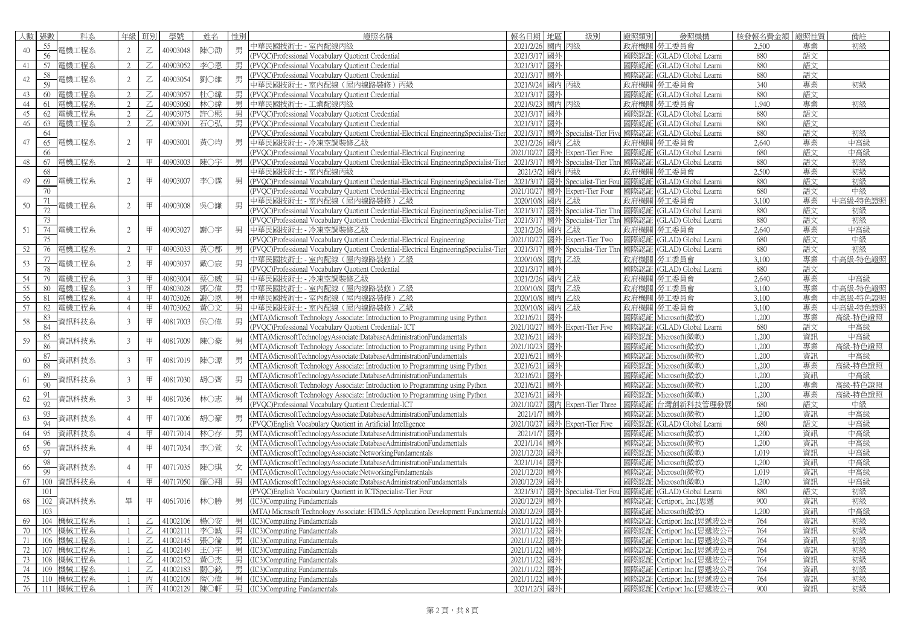| 人數 | 張數  | 科系           | 年級             | 班別          | 學號       | 姓名  | 性別 | 證照名稱                                                                                      | 報名日期   地區       |    | 級別                                     | 證照類別 | 發照機構                      | 核發報名費金額 | 證照性質 | 備註       |
|----|-----|--------------|----------------|-------------|----------|-----|----|-------------------------------------------------------------------------------------------|-----------------|----|----------------------------------------|------|---------------------------|---------|------|----------|
|    | 55  |              |                |             |          |     |    | 中華民國技術士 - 室內配線丙級                                                                          | 2021/2/26 國內 丙級 |    |                                        |      | 政府機關   勞工委員會              | 2,500   | 專業   | 初級       |
| 40 | 56  | 電機工程系        | 2              | Ζ           | 40903048 | 陳〇劭 | 男  | PVOC)Professional Vocabulary Quotient Credential                                          | 2021/3/17 國外    |    |                                        | 國際認証 | (GLAD) Global Learni      | 880     | 語文   |          |
| 41 | 57  | 電機工程系        | $\gamma$       | Z           | 40903052 | 李〇恩 | 男  | (PVOC)Professional Vocabulary Quotient Credential                                         | 2021/3/17 國外    |    |                                        | 國際認証 | (GLAD) Global Learni      | 880     | 語文   |          |
|    | 58  |              |                |             |          |     |    | (PVQC)Professional Vocabulary Quotient Credential                                         | 2021/3/17 國外    |    |                                        |      | 國際認証 (GLAD) Global Learni | 880     | 語文   |          |
| 42 | 59  | 電機工程系        | 2              | $\mathbb Z$ | 40903054 | 劉○維 | 男  | 中華民國技術士 - 室内配線 (屋内線路裝修) 丙級                                                                | 2021/9/24 國內 丙級 |    |                                        |      | 政府機關   勞工委員會              | 340     | 專業   | 初級       |
| 43 | 60  | 電機工程系        | $\overline{2}$ | Z.          | 40903057 | 杜○緯 | 男  | (PVOC)Professional Vocabulary Quotient Credential                                         | 2021/3/17 國外    |    |                                        | 國際認証 | (GLAD) Global Learni      | 880     | 語文   |          |
| 44 | 61  | 電機工程系        | $\overline{2}$ | Z           | 40903060 | 林○緯 | 男  | 中華民國技術士 - 工業配線丙級                                                                          | 2021/9/23 國內 丙級 |    |                                        | 政府機關 | 勞工委員會                     | 1,940   | 專業   | 初級       |
| 45 | 62  | 電機工程系        | $\mathfrak{D}$ | Ζ           | 40903075 | 許〇熙 | 男  | (PVQC)Professional Vocabulary Quotient Credential                                         | 2021/3/17 國外    |    |                                        |      | 國際認証 (GLAD) Global Learni | 880     | 語文   |          |
| 46 | 63  | 電機工程系        | $\mathfrak{D}$ | Z           | 40903091 | 石〇弘 | 男  | (PVOC)Professional Vocabulary Quotient Credential                                         | 2021/3/17 國外    |    |                                        | 國際認証 | (GLAD) Global Learni      | 880     | 語文   |          |
|    | 64  |              |                |             |          |     |    | (PVQC)Professional Vocabulary Quotient Credential-Electrical EngineeringSpecialist-Tier   |                 |    | 2021/3/17 國外 Specialist-Tier Five 國際認証 |      | (GLAD) Global Learni      | 880     | 語文   | 初級       |
| 47 | 65  | 電機工程系        | 2              | 甲           | 40903001 | 黃○均 | 男  | 中華民國技術士 - 冷凍空調裝修乙級                                                                        | 2021/2/26 國內 乙級 |    |                                        | 政府機關 | 勞工委員會                     | 2,640   | 專業   | 中高級      |
|    | 66  |              |                |             |          |     |    | (PVQC)Professional Vocabulary Quotient Credential-Electrical Engineering                  |                 |    | 2021/10/27 國外 Expert-Tier Five         | 國際認証 | (GLAD) Global Learni      | 680     | 語文   | 中高級      |
| 48 | 67  | 電機工程系        | $2^{1}$        | 甲           | 40903003 | 陳〇宇 | 男  | (PVQC)Professional Vocabulary Quotient Credential-Electrical EngineeringSpecialist-Tier   |                 |    | 2021/3/17 國外 Specialist-Tier Thre 國際認証 |      | (GLAD) Global Learni      | 880     | 語文   | 初級       |
|    | 68  |              |                |             |          |     |    | 中華民國技術士 - 室内配線丙級                                                                          | 2021/3/2 國內 丙級  |    |                                        |      | 政府機關 勞工委員會                | 2,500   | 專業   | 初級       |
| 49 | 69  | 電機工程系        | 2              | 甲           | 40903007 | 李○霆 |    | 男 (PVQC)Professional Vocabulary Quotient Credential-Electrical EngineeringSpecialist-Tier |                 |    | 2021/3/17 國外 Specialist-Tier Fou       | 國際認証 | (GLAD) Global Learni      | 880     | 語文   | 初級       |
|    | 70  |              |                |             |          |     |    | (PVQC)Professional Vocabulary Quotient Credential-Electrical Engineering                  |                 |    | 2021/10/27 國外 Expert-Tier Four         | 國際認証 | (GLAD) Global Learni      | 680     | 語文   | 中級       |
|    | 71  |              |                |             |          |     |    | 中華民國技術士 - 室內配線 (屋内線路裝修) 乙級                                                                | 2020/10/8 國內 乙級 |    |                                        |      | 政府機關 勞工委員會                | 3,100   | 專業   | 中高級-特色證照 |
| 50 | 72  | 電機工程系        | 2              | 甲           | 40903008 | 吳○謙 | 男  | (PVQC)Professional Vocabulary Quotient Credential-Electrical EngineeringSpecialist-Tier   |                 |    | 2021/3/17 國外 Specialist-Tier Thre 國際認証 |      | (GLAD) Global Learni      | 880     | 語文   | 初級       |
|    | 73  |              |                |             |          |     |    | (PVQC)Professional Vocabulary Quotient Credential-Electrical EngineeringSpecialist-Tier   |                 |    | 2021/3/17 國外 Specialist-Tier Thre 國際認証 |      | (GLAD) Global Learni      | 880     | 語文   | 初級       |
| 51 |     | 74 電機工程系     | 2              | 甲           | 40903027 | 謝〇宇 | 男  | 中華民國技術士 - 冷凍空調裝修乙級                                                                        | 2021/2/26 國内 乙級 |    |                                        | 政府機關 | 勞工委員會                     | 2,640   | 專業   | 中高級      |
|    | 75  |              |                |             |          |     |    | (PVQC)Professional Vocabulary Quotient Credential-Electrical Engineering                  |                 |    | 2021/10/27 國外 Expert-Tier Two          | 國際認証 | (GLAD) Global Learni      | 680     | 語文   | 中級       |
| 52 | 76  | 電機工程系        | $2^{1}$        | 甲           | 40903033 | 黃〇郡 |    | 男 (PVQC)Professional Vocabulary Quotient Credential-Electrical EngineeringSpecialist-Tier |                 |    | 2021/3/17 國外 Specialist-Tier Thre 國際認証 |      | (GLAD) Global Learni      | 880     | 語文   | 初級       |
|    | 77  |              |                |             |          |     |    | 中華民國技術士 - 室內配線 (屋内線路裝修) 乙級                                                                | 2020/10/8 國內 乙級 |    |                                        |      | 政府機關 勞工委員會                | 3,100   | 專業   | 中高級-特色證照 |
| 53 | 78  | 電機工程系        | 2              | 甲           | 40903037 | 戴○宸 | 男  | (PVQC)Professional Vocabulary Quotient Credential                                         | 2021/3/17 國外    |    |                                        |      | 國際認証 (GLAD) Global Learni | 880     | 語文   |          |
|    | 79  |              | $\mathcal{R}$  | 甲           | 40803004 |     | 男  |                                                                                           |                 |    |                                        |      | 政府機關 勞工委員會                |         | 專業   | 中高級      |
| 54 |     | 電機工程系        | 3              | 甲           |          | 蔡〇威 |    | 中華民國技術士 - 冷凍空調裝修乙級                                                                        | 2021/2/26 國內 乙級 |    |                                        |      |                           | 2,640   |      | 中高級-特色證照 |
| 55 | 80  | 電機工程系        |                |             | 40803028 | 郭○偉 | 男  | 中華民國技術士 - 室内配線 (屋内線路裝修) 乙級                                                                | 2020/10/8 國內 乙級 |    |                                        |      | 政府機關 勞工委員會                | 3,100   | 專業   |          |
| 56 | 81  | 電機工程系        | $\overline{4}$ | 甲           | 40703026 | 謝〇恩 | 男  | 中華民國技術士 - 室内配線 (屋内線路裝修) 乙級                                                                | 2020/10/8 國內 乙級 |    |                                        |      | 政府機關 勞工委員會                | 3,100   | 專業   | 中高級-特色證照 |
| 57 | 82  | 電機工程系        | $\overline{4}$ | 甲           | 40703062 | 黃〇文 | 男  | 中華民國技術士 - 室内配線 (屋内線路裝修) 乙級                                                                | 2020/10/8 國內 乙級 |    |                                        |      | 政府機關 勞工委員會                | 3,100   | 專業   | 中高級-特色證照 |
| 58 | 83  | 資訊科技系        | 3              | 甲           | 40817003 | 侯〇偉 | 男  | MTA)Microsoft Technology Associate: Introduction to Programming using Python              | 2021/6/21 國外    |    |                                        |      | 國際認証 Microsoft(微軟)        | 1,200   | 專業   | 高級-特色證照  |
|    | 84  |              |                |             |          |     |    | (PVQC)Professional Vocabulary Quotient Credential-ICT                                     |                 |    | 2021/10/27 國外 Expert-Tier Five         |      | 國際認証 (GLAD) Global Learni | 680     | 語文   | 中高級      |
| 59 | 85  | 資訊科技系        | $\overline{3}$ | 甲           | 40817009 | 陳〇豪 | 男  | MTA)MicrosoftTechnologyAssociate:DatabaseAdministrationFundamentals                       | 2021/6/21 國外    |    |                                        |      | 國際認証 Microsoft(微軟)        | 1,200   | 資訊   | 中高級      |
|    | 86  |              |                |             |          |     |    | MTA)Microsoft Technology Associate: Introduction to Programming using Python              | 2021/10/23 國外   |    |                                        |      | 國際認証 Microsoft(微軟)        | 1,200   | 專業   | 高級-特色證照  |
| 60 | 87  | 資訊科技系        | 3              | 甲           | 40817019 | 陳○源 | 男  | (MTA)MicrosoftTechnologyAssociate:DatabaseAdministrationFundamentals                      | 2021/6/21 國外    |    |                                        |      | 國際認証 Microsoft(微軟)        | 1,200   | 資訊   | 中高級      |
|    | 88  |              |                |             |          |     |    | (MTA)Microsoft Technology Associate: Introduction to Programming using Python             | 2021/6/21 國外    |    |                                        |      | 國際認証 Microsoft(微軟)        | 1,200   | 專業   | 高級-特色證照  |
| 61 | 89  | 資訊科技系        | $\overline{3}$ | 甲           | 40817030 | 胡○齊 | 男  | MTA)MicrosoftTechnologyAssociate:DatabaseAdministrationFundamentals                       | 2021/6/21 國外    |    |                                        |      | 國際認証 Microsoft(微軟)        | 1,200   | 資訊   | 中高級      |
|    | 90  |              |                |             |          |     |    | (MTA)Microsoft Technology Associate: Introduction to Programming using Python             | 2021/6/21 國外    |    |                                        |      | 國際認証 Microsoft(微軟)        | 1,200   | 專業   | 高級-特色證照  |
| 62 | 91  | 資訊科技系        | 3              | 甲           | 40817036 | 林○志 |    | (MTA)Microsoft Technology Associate: Introduction to Programming using Python             | 2021/6/21 國外    |    |                                        |      | 國際認証 Microsoft(微軟)        | 1,200   | 專業   | 高級-特色證照  |
|    | 92  |              |                |             |          |     |    | (PVQC)Professional Vocabulary Quotient Credential-ICT                                     |                 |    | 2021/10/27 國內 Expert-Tier Three        |      | 國際認証 台灣創新科技管理發展           | 680     | 語文   | 中級       |
| 63 | 93  | 資訊科技系        | $\Delta$       | 甲           | 40717006 | 胡○豪 |    | (MTA)MicrosoftTechnologyAssociate:DatabaseAdministrationFundamentals                      | 2021/1/7 國外     |    |                                        |      | 國際認証 Microsoft(微軟)        | 1,200   | 資訊   | 中高級      |
|    | 94  |              |                |             |          |     |    | PVOC)English Vocabulary Quotient in Artificial Intelligence                               |                 |    | 2021/10/27 國外 Expert-Tier Five         | 國際認証 | (GLAD) Global Learni      | 680     | 語文   | 中高級      |
| 64 | 95  | 資訊科技系        | $\overline{4}$ | 甲           | 40717014 | 林○存 | 男  | MTA)MicrosoftTechnologyAssociate:DatabaseAdministrationFundamentals                       | 2021/1/7 國外     |    |                                        | 國際認証 | Microsoft(微軟)             | 1,200   | 資訊   | 中高級      |
| 65 | 96  | 資訊科技系        | $\mathcal{A}$  | 甲           | 40717034 | 李〇萱 | 女  | (MTA)MicrosoftTechnologyAssociate:DatabaseAdministrationFundamentals                      | 2021/1/14 國外    |    |                                        | 國際認証 | Microsoft(微軟)             | 1,200   | 資訊   | 中高級      |
|    | 97  |              |                |             |          |     |    | (MTA)MicrosoftTechnologyAssociate:NetworkingFundamentals                                  | 2021/12/20 國外   |    |                                        |      | 國際認証 Microsoft(微軟)        | 1.019   | 資訊   | 中高級      |
| 66 | 98  | 資訊科技系        |                | 甲           | 40717035 | 陳○琪 | 女  | (MTA)MicrosoftTechnologyAssociate:DatabaseAdministrationFundamentals                      | 2021/1/14 國外    |    |                                        | 國際認証 | Microsoft(微軟)             | 1,200   | 資訊   | 中高級      |
|    | 99  |              |                |             |          |     |    | (MTA)MicrosoftTechnologyAssociate:NetworkingFundamentals                                  | 2021/12/20 國外   |    |                                        | 國際認証 | Microsoft(微軟)             | 1.019   | 資訊   | 中高級      |
| 67 | 100 | 資訊科技系        | $\overline{4}$ | 甲           | 40717050 | 羅〇翔 | 男  | MTA)MicrosoftTechnologyAssociate:DatabaseAdministrationFundamentals                       | 2020/12/29      | 國外 |                                        | 國際認証 | Microsoft(微軟)             | 1,200   | 資訊   | 中高級      |
|    | 101 |              |                |             |          |     |    | PVQC)English Vocabulary Quotient in ICTSpecialist-Tier Four                               |                 |    | 2021/3/17 國外 Specialist-Tier Fou       | 國際認証 | (GLAD) Global Learni      | 880     | 語文   | 初級       |
| 68 |     | 102 資訊科技系    | 畢              | 甲           | 40617016 | 林○勝 | 男  | (IC3)Computing Fundamentals                                                               | 2020/12/29 國外   |    |                                        |      | 國際認証 Certiport, Inc.[思遞   | 900     | 資訊   | 初級       |
|    | 103 |              |                |             |          |     |    | (MTA) Microsoft Technology Associate: HTML5 Application Development Fundamentals          | 2020/12/29 國外   |    |                                        |      | 國際認証 Microsoft(微軟)        | 1,200   | 資訊   | 中高級      |
| 69 |     | 104 機械工程系    |                | Ζ           | 41002106 | 楊○安 | 男  | IC3)Computing Fundamentals                                                                | 2021/11/22 國外   |    |                                        | 國際認証 | Certiport Inc.[思遞波公]      | 764     | 資訊   | 初級       |
| 70 |     | 105 機械工程系    |                | Z           | 41002111 | 李〇誠 | 男  | (IC3)Computing Fundamentals                                                               | 2021/11/22 國外   |    |                                        | 國際認証 | Certiport Inc.[思遞波公]      | 764     | 資訊   | 初級       |
| 71 |     | 106 機械工程系    |                | Z           | 41002145 | 張〇倫 | 男  | IC3)Computing Fundamentals                                                                | 2021/11/22 國外   |    |                                        | 國際認証 | Certiport Inc.[思遞波公       | 764     | 資訊   | 初級       |
| 72 |     | 107 機械工程系    |                | Z           | 41002149 | 王〇宇 | 男  | <b>IC3)Computing Fundamentals</b>                                                         | 2021/11/22 國外   |    |                                        | 國際認証 | Certiport Inc.[思遞波公]      | 764     | 資訊   | 初級       |
| 73 |     | 108 機械工程系    |                | Z           | 41002152 | 黃〇杰 | 男  | (IC3)Computing Fundamentals                                                               | 2021/11/22 國外   |    |                                        | 國際認証 | Certiport Inc.[思遞波公]      | 764     | 資訊   | 初級       |
| 74 |     | 109 機械工程系    |                | Z           | 41002183 | 關○銘 | 男  | <b>IC3)Computing Fundamentals</b>                                                         | 2021/11/22 國外   |    |                                        | 國際認証 | Certiport Inc.[思遞波公司      | 764     | 資訊   | 初級       |
| 75 |     | 110 機械工程系    |                | 丙           | 41002109 | 詹〇偉 | 男  | IC3)Computing Fundamentals                                                                | 2021/11/22 國外   |    |                                        | 國際認証 | Certiport Inc.[思遞波公       | 764     | 資訊   | 初級       |
|    |     | 76 111 機械工程系 |                | 丙           | 41002129 | 陳〇軒 |    | $\frac{1}{2}$ (IC3)Computing Fundamentals                                                 | 2021/12/3 國外    |    |                                        |      | 國際認証 Certiport Inc.[思遞波公司 | 900     | 資訊   | 初級       |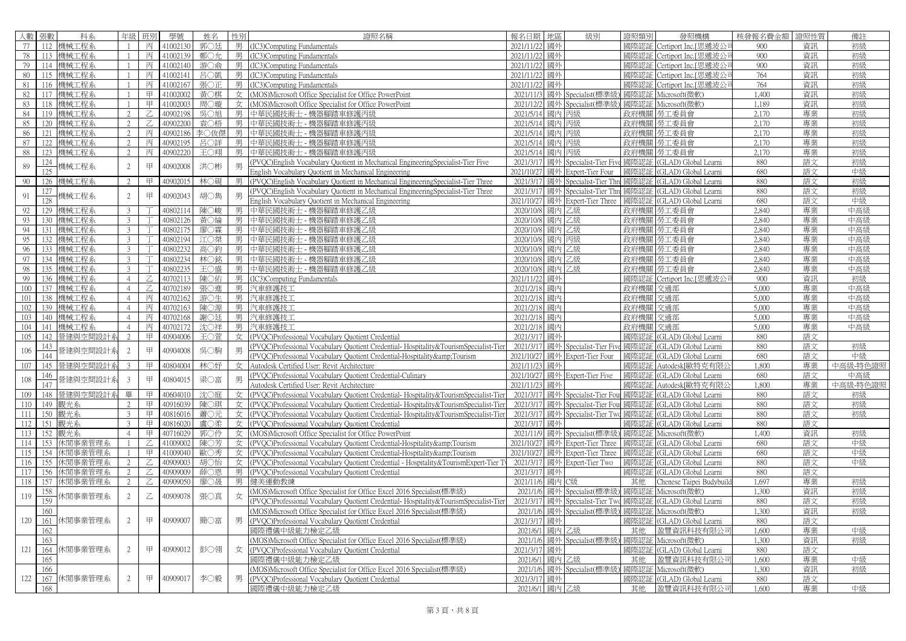| 人數 張數      | 科系           | 年級                       | 班別             | 學號       | 姓名         | 性別 | 證照名稱                                                                                                                                          | 報名日期            | 地區    | 級別                                     | 證照類別         | 發照機構                                         | 核發報名費金額 | 證照性質 | 備註       |
|------------|--------------|--------------------------|----------------|----------|------------|----|-----------------------------------------------------------------------------------------------------------------------------------------------|-----------------|-------|----------------------------------------|--------------|----------------------------------------------|---------|------|----------|
| $77-1$     | 112 機械工程系    |                          | 丙              | 41002130 | 郭○廷        |    | 男 (IC3)Computing Fundamentals                                                                                                                 | 2021/11/22      | 國外    |                                        | 國際認証         | Certiport Inc.[思遞波公                          | 900     | 資訊   | 初級       |
| 78         | 113 機械工程系    |                          | 丙              | 41002139 | 鄭○允        | 男  | <b>IC3)Computing Fundamentals</b>                                                                                                             | 2021/11/22 國外   |       |                                        | 國際認証         | Certiport Inc.[思遞波公                          | 900     | 資訊   | 初級       |
| 79         | 114 機械工程系    |                          | 丙              | 41002140 | 游○命        | 男  | <b>IC3)Computing Fundamentals</b>                                                                                                             | 2021/11/22 國外   |       |                                        | 國際認証         | Certiport Inc.[思遞波公                          | 900     | 資訊   | 初級       |
| 80<br>115  | 機械工程系        |                          | 丙              | 41002141 | 呂〇凱        | 男丨 | IC3)Computing Fundamentals                                                                                                                    | 2021/11/22 國外   |       |                                        | 國際認証         | Certiport Inc.[思遞波公                          | 764     | 資訊   | 初級       |
| 81         | 116 機械工程系    |                          | 丙              | 41002167 | 張〇正        |    | 男 (IC3)Computing Fundamentals                                                                                                                 | 2021/11/22 國外   |       |                                        | 國際認証         | Certiport Inc.[思遞波公]                         | 764     | 資訊   | 初級       |
| 82         | 117 機械工程系    |                          | 甲              | 41002002 | 黃○棋        |    | 女 (MOS)Microsoft Office Specialist for Office PowerPoint                                                                                      | 2021/11/3       |       | 國外 Specialist(標準級                      | 國際認証         | Microsoft(微軟)                                | 1,400   | 資訊   | 初級       |
| 83         | 118 機械工程系    |                          | 甲              | 41002003 | 周○璇        |    | 女 (MOS)Microsoft Office Specialist for Office PowerPoint                                                                                      | 2021/12/2       |       | 國外 Specialist(標準級                      | 國際認証         | Microsoft(微軟)                                | 1.189   | 資訊   | 初級       |
| 84         | 119 機械工程系    |                          | $\overline{Z}$ | 40902198 | 吳○旭        |    | 男 中華民國技術士 - 機器腳踏車修護丙級                                                                                                                         | 2021/5/14       | 國內    | 丙級                                     |              | 政府機關 勞工委員會                                   | 2.170   | 專業   | 初級       |
| 85         | 120 機械工程系    | $\overline{\mathcal{L}}$ | Z              | 40902200 | 袁〇梧        | 男  | 中華民國技術士 - 機器腳踏車修護丙級                                                                                                                           | 2021/5/14       | 國內 丙級 |                                        |              | 政府機關 勞工委員會                                   | 2,170   | 專業   | 初級       |
| 86<br>121  | 機械工程系        | 2                        | 丙              | 40902186 | 李〇伖傑       | 男  | 中華民國技術士 - 機器腳踏車修護丙級                                                                                                                           | 2021/5/14 國內 丙級 |       |                                        |              | 政府機關   勞工委員會                                 | 2,170   | 專業   | 初級       |
| 87<br>122  | 機械工程系        | 2                        | 丙              | 40902195 | 呂〇詳        | 男  | 中華民國技術士 - 機器腳踏車修護丙級                                                                                                                           | 2021/5/14 國內 丙級 |       |                                        |              | 政府機關 勞工委員會                                   | 2,170   | 專業   | 初級       |
| 88         | 123 機械工程系    | 2                        | 丙              | 40902220 | 王〇翔        |    | 男 中華民國技術士 - 機器腳踏車修護丙級                                                                                                                         | 2021/5/14       | 國內 丙級 |                                        |              | 政府機關   勞工委員會                                 | 2,170   | 專業   | 初級       |
| 124        |              |                          |                |          |            |    | (PVQC)English Vocabulary Quotient in Mechanical EngineeringSpecialist-Tier Five                                                               |                 |       | 2021/3/17 國外 Specialist-Tier Five 國際認証 |              | (GLAD) Global Learni                         | 880     | 語文   | 初級       |
| 89<br>125  | 幾械工程系        | 2                        | 甲              | 40902008 | 洪〇彬        | 男  | English Vocabulary Quotient in Mechanical Engineering                                                                                         | 2021/10/27      |       | 國外 Expert-Tier Four                    | 國際認証         | (GLAD) Global Learni                         | 680     | 語文   | 中級       |
| 90<br>126  | 機械工程系        | $\mathfrak{D}$           | 甲              | 40902015 | 林〇硯        |    | 男 (PVQC)English Vocabulary Quotient in Mechanical EngineeringSpecialist-Tier Three                                                            | 2021/3/17       |       | 國外 Specialist-Tier Thr                 | 國際認証         | (GLAD) Global Learni                         | 880     | 語文   | 初級       |
| 127        |              |                          |                |          |            |    | PVQC)English Vocabulary Quotient in Mechanical EngineeringSpecialist-Tier Three                                                               | 2021/3/17       |       | 國外 Specialist-Tier Thr                 | 國際認証         | (GLAD) Global Learni                         | 880     | 語文   | 初級       |
| 91<br>128  | 幾械工程系        | $\overline{2}$           | 甲              | 40902043 | 胡○雋        | 男  | English Vocabulary Quotient in Mechanical Engineering                                                                                         | 2021/10/27      |       | 國外 Expert-Tier Three                   | 國際認証         | (GLAD) Global Learni                         | 680     | 語文   | 中級       |
| 129<br>92  | 機械工程系        | $\mathcal{L}$            |                | 40802114 | 陳○峻        | 男  | 中華民國技術士 - 機器腳踏車修護乙級                                                                                                                           | 2020/10/8 國內    |       | 乙級                                     | 政府機關         | 勞工委員會                                        | 2,840   | 專業   | 中高級      |
| 93         | 130 機械工程系    | 3                        |                | 40802126 | 黃○綸        |    | 男 中華民國技術士 - 機器腳踏車修護乙級                                                                                                                         | 2020/10/8       | 國內 乙級 |                                        |              | 政府機關 勞工委員會                                   | 2,840   | 專業   | 中高級      |
| 94         | 131 機械工程系    | $\mathcal{E}$            |                | 40802175 | 廖○霖        | 男  | 中華民國技術士 - 機器腳踏車修護乙級                                                                                                                           | 2020/10/8 國內 乙級 |       |                                        |              | 政府機關 勞工委員會                                   | 2,840   | 專業   | 中高級      |
| 95         | 132 機械工程系    | $\mathcal{L}$            |                | 40802194 | 江〇桀        |    | 男 中華民國技術士 - 機器腳踏車修護乙級                                                                                                                         | 2020/10/8       | 國內 丙級 |                                        |              | 政府機關 勞工委員會                                   | 2,840   | 專業   | 中高級      |
| 96         | 133 機械工程系    | $\mathcal{L}$            |                | 40802232 | 高〇鈞        |    | 男 中華民國技術士 - 機器腳踏車修護乙級                                                                                                                         | 2020/10/8 國內 乙級 |       |                                        |              | 政府機關 勞工委員會                                   | 2,840   | 專業   | 中高級      |
| 97         | 134 機械工程系    | 3                        |                | 40802234 | 林○銘        | 男  | 中華民國技術士 - 機器腳踏車修護乙級                                                                                                                           | 2020/10/8 國內 乙級 |       |                                        |              | 政府機關 勞工委員會                                   | 2,840   | 專業   | 中高級      |
| 98         | 135 機械工程系    | 3                        |                | 40802235 | 王〇盛        | 男  | 中華民國技術士 - 機器腳踏車修護乙級                                                                                                                           | 2020/10/8 國內 乙級 |       |                                        |              | 政府機關 勞工委員會                                   | 2,840   | 專業   | 中高級      |
| 99         | 136 機械工程系    | $\overline{4}$           | Z              | 40702113 | 陳〇佑        |    | 男 (IC3)Computing Fundamentals                                                                                                                 | 2021/11/22 國外   |       |                                        | 國際認証         | Certiport Inc.[思遞波公]                         | 900     | 資訊   | 初級       |
| 100        | 137 機械工程系    | $\overline{4}$           | Z              | 40702189 | 張〇進        |    | 男 汽車修護技工                                                                                                                                      | 2021/2/18 國內    |       |                                        | 政府機關 交通部     |                                              | 5,000   | 專業   | 中高級      |
| 101        | 138 機械工程系    | $\overline{4}$           | 丙              | 40702162 | 游〇生        |    | 男 汽車修護技工                                                                                                                                      | 2021/2/18 國內    |       |                                        | 政府機關 交通部     |                                              | 5,000   | 專業   | 中高級      |
| 102        | 139 機械工程系    | $\overline{4}$           | 丙              | 40702163 | 陳○源        |    | 男 汽車修護技工                                                                                                                                      | 2021/2/18       | 國內    |                                        | 政府機關         | 交通部                                          | 5,000   | 專業   | 中高級      |
| 103        | 140 機械工程系    | $\overline{4}$           | 丙              | 40702168 | 謝〇廷        | 男丨 | 汽車修護技工                                                                                                                                        | 2021/2/18 國內    |       |                                        | 政府機關 交通部     |                                              | 5,000   | 專業   | 中高級      |
| 104<br>141 | 機械工程系        | $\overline{4}$           | 丙              | 40702172 | 沈〇祥        | 男  | 汽車修護技工                                                                                                                                        | 2021/2/18 國內    |       |                                        | 政府機關         | 交通部                                          | 5,000   | 專業   | 中高級      |
| 105<br>142 | 營建與空間設計系     | $\mathfrak{D}$           | 甲              | 40904006 | 王〇萱        | 女  | (PVOC)Professional Vocabulary Quotient Credential                                                                                             | 2021/3/17 國外    |       |                                        | 國際認証         | (GLAD) Global Learni                         | 880     | 語文   |          |
| 143        |              |                          |                |          |            |    | PVQC)Professional Vocabulary Quotient Credential-Hospitality&TourismSpecialist-Tier                                                           |                 |       | 2021/3/17 國外 Specialist-Tier Fi        | 國際認証         | (GLAD) Global Learni                         | 880     | 語文   | 初級       |
| 106<br>144 | 營建與空間設計系     | 2                        | 甲              | 40904008 | 吳○駒        |    | (PVOC)Professional Vocabulary Quotient Credential-Hospitality&Tourism                                                                         |                 |       | 2021/10/27 國外 Expert-Tier Four         | 國際認証         | (GLAD) Global Learni                         | 680     | 語文   | 中級       |
| 107        | 145 營建與空間設計系 |                          | 甲              | 40804004 | 林○妤        |    | 女 Autodesk Certified User: Revit Architecture                                                                                                 | 2021/11/23 國外   |       |                                        | 國際認証         | Autodesk[歐特克有限公                              | 1,800   | 專業   | 中高級-特色證照 |
| 146        |              |                          |                |          |            |    | (PVQC)Professional Vocabulary Quotient Credential-Culinary                                                                                    |                 |       | 2021/10/27 國外 Expert-Tier Five         | 國際認証         | (GLAD) Global Learni                         | 680     | 語文   | 中高級      |
| 108<br>147 | 營建與空間設計系     | $\overline{3}$           | $\mp$          | 40804015 | 梁○富        | 男  | Autodesk Certified User: Revit Architecture                                                                                                   | 2021/11/23      | 國外    |                                        | 國際認証         | Autodesk[歐特克有限2                              | 1,800   | 專業   | 中高級-特色證照 |
| 109        | 148 營建與空間設計系 |                          | 甲              | 40604010 | 沈〇庭        | 女  | (PVOC)Professional Vocabulary Quotient Credential-Hospitality&TourismSpecialist-Tier                                                          | 2021/3/17       |       | 國外 Specialist-Tier For                 | 國際認証         | (GLAD) Global Learni                         | 880     | 語文   | 初級       |
| 110        | 149 觀光系      | 2                        | 甲              | 40916039 | 陳〇琪        |    | 女 (PVOC)Professional Vocabulary Quotient Credential-Hospitality&TourismSpecialist-Tier                                                        | 2021/3/17       |       | 國外 Specialist-Tier Fou                 | 國際認証         | (GLAD) Global Learni                         | 880     | 語文   | 初級       |
| 111        |              | $\mathcal{L}$            | 甲              | 40816016 | 蕭〇元        |    |                                                                                                                                               |                 |       |                                        | 國際認証         |                                              | 880     | 語文   | 初級       |
| 112        | 150 觀光系      | $\mathcal{E}$            | 甲              | 40816020 |            |    | 女 (PVQC)Professional Vocabulary Quotient Credential-Hospitality&TourismSpecialist-Tier<br>女 (PVOC)Professional Vocabulary Quotient Credential | 2021/3/17       | 國外    | 2021/3/17 國外 Specialist-Tier Two       | 國際認証         | (GLAD) Global Learni<br>(GLAD) Global Learni | 880     | 語文   |          |
| 113<br>152 | 151 觀光系      | $\overline{4}$           | $\boxplus$     | 40716029 | 盧○柔<br>郭〇伶 |    |                                                                                                                                               |                 |       |                                        | 國際認証         | Microsoft(微軟)                                | 1,400   | 資訊   |          |
| 114<br>153 | 觀光系          |                          | Z              | 41009002 |            |    | 女 (MOS)Microsoft Office Specialist for Office PowerPoint                                                                                      | 2021/10/27      |       | 2021/11/9 國外 Specialist(標準級)           |              |                                              | 680     |      | 初級<br>中級 |
| 154        | 休閒事業管理系      |                          | 甲              |          | 陳〇芳        |    | 女 (PVQC)Professional Vocabulary Quotient Credential-Hospitality&Tourism                                                                       | 2021/10/27      |       | 國外 Expert-Tier Three                   | 國際認証<br>國際認証 | (GLAD) Global Learni                         |         | 語文   | 中級       |
| 115        | 休閒事業管理系      |                          | Z              | 41009040 | 歐〇秀        |    | 女 (PVQC)Professional Vocabulary Quotient Credential-Hospitality&Tourism                                                                       |                 |       | 國外 Expert-Tier Three                   |              | (GLAD) Global Learni                         | 680     | 語文   |          |
| 116<br>155 | 休閒事業管理系      |                          |                | 40909003 | 胡〇怡        | 女  | (PVQC)Professional Vocabulary Quotient Credential - Hospitality&TourismExpert-Tier Ty                                                         |                 |       | 2021/3/17 國外 Expert-Tier Two           | 國際認証         | (GLAD) Global Learni                         | 880     | 語文   | 中級       |
| 117<br>156 | 休閒事業管理系      | 2                        | Z              | 40909009 | 薛○恩        |    | 男 (PVQC)Professional Vocabulary Quotient Credential                                                                                           | 2021/3/17 國外    |       |                                        | 國際認証         | (GLAD) Global Learni                         | 880     | 語文   |          |
| 118        | 157 休閒事業管理系  | 2                        | $\mathbb Z$    | 40909050 | 廖○晟        |    | 男 健美運動教練                                                                                                                                      | 2021/11/6 國內 C級 |       |                                        | 其他           | Chenese Taipei Budybuild                     | 1.697   | 專業   | 初級       |
| 158<br>119 | 木閒事業管理系      | 2                        | $\mathbb Z$    | 40909078 | 張〇真        | 女  | MOS)Microsoft Office Specialist for Office Excel 2016 Specialist(標準級)                                                                         | 2021/1/6        |       | 國外 Specialist(標準級                      | 國際認証         | Microsoft(微軟)                                | 1,300   | 資訊   | 初級       |
| 159        |              |                          |                |          |            |    | PVQC)Professional Vocabulary Quotient Credential-Hospitality&TourismSpecialist-Tier                                                           | 2021/3/17       |       | 國外 Specialist-Tier Two                 | 國際認証         | (GLAD) Global Learni                         | 880     | 語文   | 初級       |
| 160        |              |                          |                |          |            |    | (MOS)Microsoft Office Specialist for Office Excel 2016 Specialist(標準級)                                                                        |                 |       | 2021/1/6 國外 Specialist(標準級             | 國際認証         | Microsoft(微軟)                                | 1,300   | 資訊   | 初級       |
| 120<br>161 | 休閒事業管理系      | 2                        | 甲              | 40909007 | 簡〇富        | 男  | (PVQC)Professional Vocabulary Quotient Credential                                                                                             | 2021/3/17       | 國外    |                                        | 國際認証         | (GLAD) Global Learni                         | 880     | 語文   |          |
| 162        |              |                          |                |          |            |    | 國際禮儀中級能力檢定乙級                                                                                                                                  | 2021/6/1        | 國內 乙級 |                                        | 其他           | 盈豐資訊科技有限公司                                   | 1,600   | 專業   | 中級       |
| 163        |              |                          |                |          |            |    | MOS)Microsoft Office Specialist for Office Excel 2016 Specialist(標準級)                                                                         | 2021/1/6        |       | 國外 Specialist(標準級                      | 國際認証         | Microsoft(微軟)                                | 1.300   | 資訊   | 初級       |
| 121<br>164 | 休閒事業管理系      | 2                        | 甲              | 40909012 | 彭〇翎        | 女  | PVQC)Professional Vocabulary Quotient Credential                                                                                              | 2021/3/17       | 國外    |                                        | 國際認証         | (GLAD) Global Learni                         | 880     | 語文   |          |
| 165        |              |                          |                |          |            |    | 國際禮儀中級能力檢定乙級                                                                                                                                  | 2021/6/1        | 國內    | 乙級                                     | 其他           | 盈豐資訊科技有限公                                    | 1,600   | 專業   | 中級       |
| 166        |              |                          |                |          |            |    | MOS)Microsoft Office Specialist for Office Excel 2016 Specialist(標準級)                                                                         |                 |       | 2021/1/6 國外 Specialist(標準級)            | 國際認証         | Microsoft(微軟)                                | 1,300   | 資訊   | 初級       |
| 122        | 167 休閒事業管理系  | 2                        | 甲              | 40909017 | 李〇毅        | 男  | (PVOC)Professional Vocabulary Quotient Credential                                                                                             | 2021/3/17       | 國外    |                                        | 國際認証         | (GLAD) Global Learni                         | 880     | 語文   |          |
| 168        |              |                          |                |          |            |    | 國際禮儀中級能力檢定乙級                                                                                                                                  | 2021/6/1 國內 乙級  |       |                                        | 其他           | 盈豐資訊科技有限公司                                   | 1,600   | 專業   | 中級       |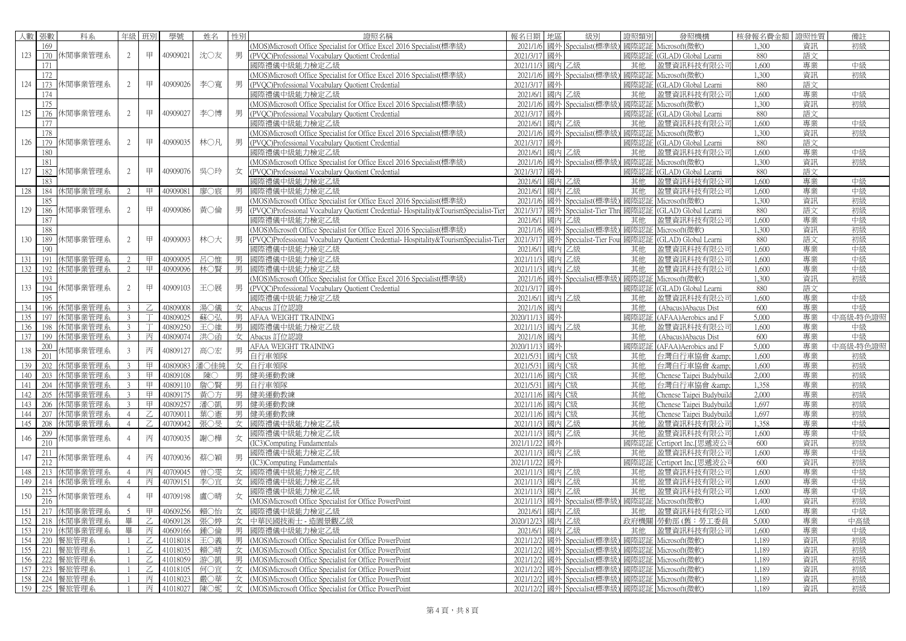| 人數  | 張數  | 科系            | 年級             | 班別      | 學號       | 姓名   | 性別 | 證照名稱                                                                                 | 報名日期 地區          |    | 級別                               | 脊照類別 | 發照機構                                            | 核發報名費金額        | 證照性質 | 備註       |
|-----|-----|---------------|----------------|---------|----------|------|----|--------------------------------------------------------------------------------------|------------------|----|----------------------------------|------|-------------------------------------------------|----------------|------|----------|
|     | 169 |               |                |         |          |      |    | (MOS)Microsoft Office Specialist for Office Excel 2016 Specialist(標準級)               |                  |    | 2021/1/6 國外 Specialist(標準級)      |      | 國際認証 Microsoft(微軟)                              | 1.300          | 資訊   | 初級       |
| 123 |     | 170 休閒事業管理系   | $\overline{2}$ | 甲       | 40909021 | 沈〇友  | 男  | (PVOC)Professional Vocabulary Quotient Credential                                    | 2021/3/17 國外     |    |                                  |      | 國際認証 (GLAD) Global Learni                       | 880            | 語文   |          |
|     | 171 |               |                |         |          |      |    | 國際禮儀中級能力檢定乙級                                                                         | 2021/11/3 國內 乙級  |    |                                  | 其他   | 盈豐資訊科技有限公司                                      | 1,600          | 專業   | 中級       |
|     | 172 |               |                |         |          |      |    | (MOS)Microsoft Office Specialist for Office Excel 2016 Specialist(標準級)               |                  |    | 2021/1/6 國外 Specialist(標準級       |      | 國際認証 Microsoft(微軟)                              | 1,300          | 資訊   | 初級       |
| 124 |     | 173 休閒事業管理系   | 2              | 甲       | 40909026 | 李〇寬  | 男  | (PVQC)Professional Vocabulary Quotient Credential                                    | 2021/3/17 國外     |    |                                  |      | 國際認証 (GLAD) Global Learni                       | 880            | 語文   |          |
|     | 174 |               |                |         |          |      |    | 國際禮儀中級能力檢定乙級                                                                         | 2021/6/1 國内 乙級   |    |                                  | 其他   | 盈豐資訊科技有限公司                                      | 1,600          | 專業   | 中級       |
|     | 175 |               |                |         |          |      |    | (MOS)Microsoft Office Specialist for Office Excel 2016 Specialist(標準級)               |                  |    | 2021/1/6 國外 Specialist(標準級       |      | 國際認証 Microsoft(微軟)                              | 1,300          | 資訊   | 初級       |
| 125 |     | 176 休閒事業管理系   | 2              | 甲       | 40909027 | 李〇博  | 男  | (PVQC)Professional Vocabulary Quotient Credential                                    | 2021/3/17 國外     |    |                                  |      | 國際認証 (GLAD) Global Learni                       | 880            | 語文   |          |
|     | 177 |               |                |         |          |      |    | 國際禮儀中級能力檢定乙級                                                                         | 2021/6/1 國内 乙級   |    |                                  | 其他   | 盈豐資訊科技有限公司                                      | 1,600          | 專業   | 中級       |
|     | 178 |               |                |         |          |      |    | (MOS)Microsoft Office Specialist for Office Excel 2016 Specialist(標準級)               |                  |    | 2021/1/6 國外 Specialist(標準級       | 國際認証 | Microsoft(微軟)                                   | 1,300          | 資訊   | 初級       |
| 126 |     | 179 休閒事業管理系   | 2              | 甲       | 40909035 | 林〇凡  | 男  | (PVQC)Professional Vocabulary Quotient Credential                                    | 2021/3/17 國外     |    |                                  | 國際認証 | (GLAD) Global Learni                            | 880            | 語文   |          |
|     | 180 |               |                |         |          |      |    | 國際禮儀中級能力檢定乙級                                                                         | 2021/6/1 國內 乙級   |    |                                  | 其他   | 盈豐資訊科技有限公司                                      | 1,600          | 專業   | 中級       |
|     |     |               |                |         |          |      |    |                                                                                      |                  |    |                                  |      |                                                 | 1,300          | 資訊   |          |
| 127 | 181 | 182 休閒事業管理系   | 2              | 甲       | 40909076 | 吳〇玲  | 女  | (MOS)Microsoft Office Specialist for Office Excel 2016 Specialist(標準級)               | 2021/3/17 國外     |    | 2021/1/6 國外 Specialist(標準級       |      | 國際認証 Microsoft(微軟)<br>國際認証 (GLAD) Global Learni | 880            | 語文   | 初級       |
|     | 183 |               |                |         |          |      |    | (PVOC)Professional Vocabulary Quotient Credential<br>剥際禮儀中級能力檢定乙級                    | 2021/6/1 國內 乙級   |    |                                  | 其他   | 盈豐資訊科技有限公司                                      | 1,600          | 專業   | 中級       |
| 128 | 184 | 休閒事業管理系       | $\mathcal{D}$  | 甲       | 4090908  | 廖○宸  |    | 國際禮儀中級能力檢定乙級                                                                         | 2021/6/1 國內 乙級   |    |                                  | 其他   | 盈豐資訊科技有限公司                                      | 1,600          | 專業   | 中級       |
|     |     |               |                |         |          |      | 男  |                                                                                      | 2021/1/6         |    | 國外 Specialist(標準級                | 國際認証 | Microsoft(微軟)                                   | 1,300          |      | 初級       |
| 129 | 185 |               |                | 甲       | 40909086 |      |    | (MOS)Microsoft Office Specialist for Office Excel 2016 Specialist(標準級)               |                  |    |                                  |      |                                                 | 880            | 資訊   |          |
|     | 186 | 休閒事業管理系       | 2              |         |          | 黃○倫  | 男  | (PVQC)Professional Vocabulary Quotient Credential-Hospitality&TourismSpecialist-Tier |                  |    | 2021/3/17 國外 Specialist-Tier Thr | 國際認証 | (GLAD) Global Learni                            |                | 語文   | 初級       |
|     | 187 |               |                |         |          |      |    | 國際禮儀中級能力檢定乙級                                                                         | 2021/6/1 國內 乙級   |    |                                  | 其他   | 盈豐資訊科技有限公司                                      | 1,600<br>1.300 | 專業   | 中級       |
|     | 188 |               |                | 甲       |          |      |    | (MOS)Microsoft Office Specialist for Office Excel 2016 Specialist(標準級)               |                  |    | 2021/1/6 國外 Specialist(標準級       |      | 國際認証 Microsoft(微軟)                              |                | 資訊   | 初級       |
| 130 |     | 189 休閒事業管理系   | 2              |         | 40909093 | 林〇大  | 男  | (PVOC)Professional Vocabulary Quotient Credential-Hospitality&TourismSpecialist-Tier |                  |    | 2021/3/17 國外 Specialist-Tier Fou |      | 國際認証 (GLAD) Global Learni                       | 880            | 語文   | 初級       |
|     | 190 |               |                |         |          |      |    | 剥際禮儀中級能力檢定乙級                                                                         | 2021/6/1 國內 乙級   |    |                                  | 其他   | 盈豐資訊科技有限公司                                      | 1,600          | 專業   | 中級<br>中級 |
| 131 | 191 | 休閒事業管理系       |                | 甲       | 40909095 | 呂○惟  | 男  | 國際禮儀中級能力檢定乙級                                                                         | 2021/11/3 國内 乙級  |    |                                  | 其他   | 盈豐資訊科技有限公司                                      | 1,600          | 專業   |          |
| 132 | 192 | 休閒事業管理系       | 2              | 甲       | 40909096 | 林○腎  | 男  | 國際禮儀中級能力檢定乙級                                                                         | 2021/11/3 國內 乙級  |    |                                  | 其他   | 盈豐資訊科技有限公司                                      | 1,600          | 專業   | 中級       |
|     | 193 |               |                | 甲       |          |      |    | (MOS)Microsoft Office Specialist for Office Excel 2016 Specialist(標準級)               |                  |    | 2021/1/6 國外 Specialist(標準級       | 國際認証 | Microsoft(微軟)                                   | 1,300          | 資訊   | 初級       |
| 133 | 194 | 休閒事業管理系       | 2              |         | 40909103 | 王〇展  | 男  | (PVQC)Professional Vocabulary Quotient Credential                                    | 2021/3/17 國外     |    |                                  |      | 國際認証 (GLAD) Global Learni                       | 880            | 語文   |          |
|     | 195 |               |                |         |          |      |    | 國際禮儀中級能力檢定乙級                                                                         | 2021/6/1 國內 乙級   |    |                                  | 其他   | 盈豐資訊科技有限公司                                      | 1,600          | 專業   | 中級       |
| 134 | 196 | 休閒事業管理系       | 3              | Z       | 40809008 | 湯○儀  | 女  | Abacus 訂位認證                                                                          | 2021/1/8 國內      |    |                                  | 其他   | (Abacus) Abacus Dist                            | 600            | 專業   | 中級       |
| 135 | 197 | 休閒事業管理系       | $\mathfrak{Z}$ |         | 40809025 | 蘇〇弘  | 男  | AFAA WEIGHT TRAINING                                                                 | 2020/11/13 國外    |    |                                  |      | 國際認証 (AFAA)Aerobics and F                       | 5,000          | 專業   | 中高級-特色證照 |
| 136 | 198 | 休閒事業管理系       | $\mathfrak{Z}$ |         | 40809250 | 王〇維  | 男  | 國際禮儀中級能力檢定乙級                                                                         | 2021/11/3 國内 乙級  |    |                                  | 其他   | 盈豐資訊科技有限公                                       | 1,600          | 專業   | 中級       |
| 137 | 199 | 休閒事業管理系       | $\mathfrak{Z}$ | 丙       | 40809074 | 洪〇函  | 女  | Abacus 訂位認證                                                                          | 2021/1/8         | 國內 |                                  | 其他   | (Abacus) Abacus Dist                            | 600            | 專業   | 中級       |
| 138 | 200 | 木閒事業管理系       | $\mathbf{3}$   | 丙       | 40809127 | 高〇宏  | 男  | AFAA WEIGHT TRAINING                                                                 | 2020/11/13 國外    |    |                                  | 國際認証 | (AFAA)Aerobics and F                            | 5,000          | 專業   | 中高級-特色證照 |
|     | 201 |               |                |         |          |      |    | 白行車領隊                                                                                | 2021/5/31 國內 C級  |    |                                  | 其他   | 台灣自行車協會 &                                       | 1,600          | 專業   | 初級       |
| 139 | 202 | 休閒事業管理系       | 3              | 甲       | 40809083 | 潘○佳純 | 女  | 自行車領隊                                                                                | 2021/5/31 國內 C級  |    |                                  | 其他   | 台灣自行車協會 &                                       | 1,600          | 專業   | 初級       |
| 140 | 203 | 休閒事業管理系       | 3              | 甲       | 40809108 | 陳〇   | 男  | 健美運動教練                                                                               | 2021/11/6 國內 C級  |    |                                  | 其他   | Chenese Taipei Budybuild                        | 2,000          | 專業   | 初級       |
| 141 | 204 | 休閒事業管理系       | 3              | 甲       | 40809110 | 詹〇賢  |    | 男 自行車領隊                                                                              | 2021/5/31 國內 C級  |    |                                  | 其他   | 台灣自行車協會 &                                       | 1.358          | 專業   | 初級       |
| 142 | 205 | 休閒事業管理系       | 3              | 甲       | 40809175 | 黄○方  | 男  | 健美運動教練                                                                               | 2021/11/6 國內 C級  |    |                                  | 其他   | Chenese Taipei Budybuild                        | 2,000          | 專業   | 初級       |
| 143 | 206 | 休閒事業管理系       | 3              | 甲       | 40809257 | 潘〇凱  | 男  | 健美運動教練                                                                               | 2021/11/6 國內 C級  |    |                                  | 其他   | Chenese Taipei Budybuild                        | 1.697          | 專業   | 初級       |
| 144 | 207 | 休閒事業管理系       | $\overline{4}$ | Z       | 40709011 | 葉○憲  | 男  | 健美運動教練                                                                               | 2021/11/6 國內 C級  |    |                                  | 其他   | Chenese Taipei Budybuild                        | 1,697          | 專業   | 初級       |
| 145 | 208 | 休閒事業管理系       | $\overline{4}$ | Z       | 40709042 | 張〇旻  | 女  | 國際禮儀中級能力檢定乙級                                                                         | 2021/11/3 國內 乙級  |    |                                  | 其他   | 盈豐資訊科技有限公司                                      | 1.358          | 專業   | 中級       |
| 146 | 209 | 木閒事業管理系       | $\overline{4}$ | 丙       | 40709035 | 謝〇樺  | 女  | 國際禮儀中級能力檢定乙級                                                                         | 2021/11/3 國内 乙級  |    |                                  | 其他   | 盈豐資訊科技有限公司                                      | 1,600          | 專業   | 中級       |
|     | 210 |               |                |         |          |      |    | <b>IC3)Computing Fundamentals</b>                                                    | 2021/11/22 國外    |    |                                  | 國際認証 | Certiport Inc.[思遞波公                             | 600            | 資訊   | 初級       |
| 147 | 211 | 木閒事業管理系       |                | 丙       | 40709036 | 蔡〇穎  | 男  | 國際禮儀中級能力檢定乙級                                                                         | 2021/11/3 國內 乙級  |    |                                  | 其他   | 盈豐資訊科技有限公                                       | 1,600          | 專業   | 中級       |
|     | 212 |               |                |         |          |      |    | <b>IC3)Computing Fundamentals</b>                                                    | 2021/11/22 國外    |    |                                  | 國際認証 | Certiport Inc.[思遞波公司                            | 600            | 資訊   | 初級       |
| 148 | 213 | 休閒事業管理系       |                | 丙       | 40709045 | 曾○雯  | 女  | 國際禮儀中級能力檢定乙級                                                                         | 2021/11/3 國內 乙級  |    |                                  | 其他   | 盈豐資訊科技有限公司                                      | 1,600          | 專業   | 中級       |
| 149 | 214 | 休閒事業管理系       | $\overline{4}$ | 丙       | 40709151 | 李〇宜  | 女  | 國際禮儀中級能力檢定乙級                                                                         | 2021/11/3 國内 乙級  |    |                                  | 其他   | 盈豐資訊科技有限公司                                      | 1,600          | 專業   | 中級       |
| 150 | 215 | 木閒事業管理系       | $\overline{4}$ | 甲       | 40709198 | 盧○晴  | 女  | 國際禮儀中級能力檢定乙級                                                                         | 2021/11/3 國內 乙級  |    |                                  | 其他   | 盈豐資訊科技有限公司                                      | 1,600          | 專業   | 中級       |
|     | 216 |               |                |         |          |      |    | MOS)Microsoft Office Specialist for Office PowerPoint                                |                  |    | 2021/11/3 國外 Specialist(標準級)     |      | 國際認証 Microsoft(微軟)                              | 1,400          | 資訊   | 初級       |
| 151 | 217 | 休閒事業管理系       | 5              | 甲       | 40609256 | 賴〇怡  | 女  | 國際禮儀中級能力檢定乙級                                                                         | 2021/6/1 國內 乙級   |    |                                  | 其他   | 盈豐資訊科技有限公司                                      | 1,600          | 專業   | 中級       |
| 152 | 218 | 休閒事業管理系       | 畢              | $Z_{i}$ | 40609128 | 張○婷  | 女  | 中華民國技術士 - 造園景觀乙級                                                                     | 2020/12/23 國內 乙級 |    |                                  |      | 政府機關   勞動部 (舊:勞工委員                              | 5,000          | 專業   | 中高級      |
| 153 | 219 | 休閒事業管理系       | 畢              | 丙       | 40609166 | 鍾○倫  | 男  | 國際禮儀中級能力檢定乙級                                                                         | 2021/6/1 國內 乙級   |    |                                  | 其他   | 盈豐資訊科技有限公司                                      | 1,600          | 專業   | 中級       |
| 154 | 220 | 餐旅管理系         | $\overline{1}$ | Z       | 41018018 | 王〇義  | 男  | (MOS)Microsoft Office Specialist for Office PowerPoint                               |                  |    | 2021/12/2 國外 Specialist(標準級      | 國際認証 | Microsoft(微軟)                                   | 1.189          | 資訊   | 初級       |
| 155 |     | 221 餐旅管理系     | $\overline{1}$ |         | 41018035 | 賴○晴  | 女  | (MOS)Microsoft Office Specialist for Office PowerPoint                               |                  |    | 2021/12/2 國外 Specialist(標準級      | 國際認証 | Microsoft(微軟)                                   | 1,189          | 資訊   | 初級       |
| 156 | 222 | 餐旅管理系         | $\overline{1}$ |         | 41018059 | 游○剴  | 男  | (MOS)Microsoft Office Specialist for Office PowerPoint                               |                  |    | 2021/12/2 國外 Specialist(標準級      |      | 國際認証 Microsoft(微軟)                              | 1.189          | 資訊   | 初級       |
| 157 | 223 | 餐旅管理系         |                | Z       | 41018105 | 何〇宜  |    | 女 (MOS)Microsoft Office Specialist for Office PowerPoint                             |                  |    | 2021/12/2 國外 Specialist(標準級      |      | 國際認証 Microsoft(微軟)                              | 1,189          | 資訊   | 初級       |
| 158 | 224 | 餐旅管理系         |                | 丙       | 41018023 | 嚴○華  | 女  | (MOS)Microsoft Office Specialist for Office PowerPoint                               |                  |    | 2021/12/2 國外 Specialist(標準級      |      | 國際認証 Microsoft(微軟)                              | 1.189          | 資訊   | 初級       |
|     |     | 159 225 餐旅管理系 | $\overline{1}$ | 丙       | 41018027 | 陳〇妮  |    | 女 (MOS)Microsoft Office Specialist for Office PowerPoint                             |                  |    | 2021/12/2 國外 Specialist(標準級)     |      | 國際認証 Microsoft(微軟)                              | 1,189          | 資訊   | 初級       |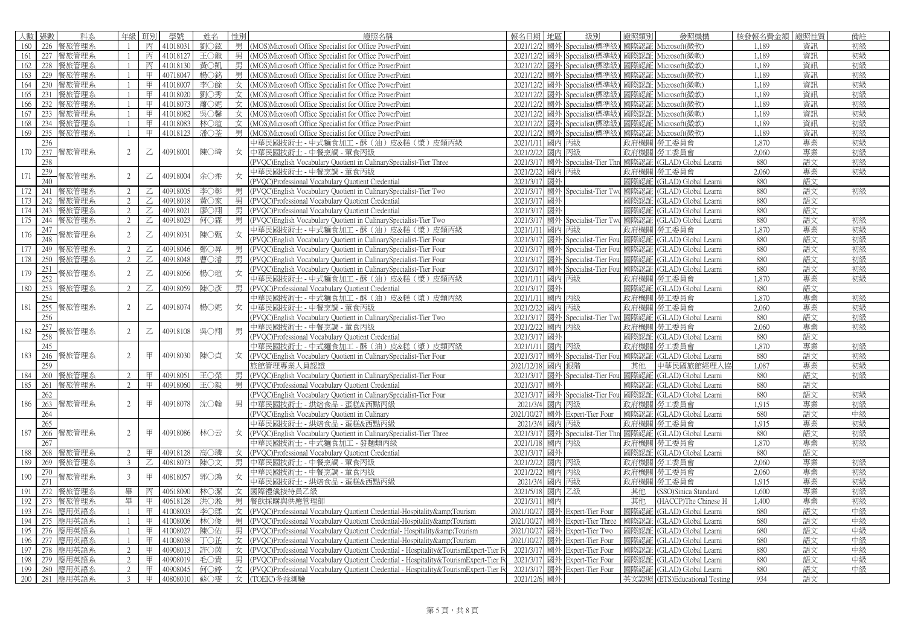|            | 人數 張數   | 科系            | 年級             | 班別                                                                                                                                                                              | 學號       | 姓名  | 性別 | 證照名稱                                                                                    | 報名日期   地區       |       | 級別                                    | 證照類別         | 發照機構                          | 核發報名費金額 | 證照性質 | 備註 |
|------------|---------|---------------|----------------|---------------------------------------------------------------------------------------------------------------------------------------------------------------------------------|----------|-----|----|-----------------------------------------------------------------------------------------|-----------------|-------|---------------------------------------|--------------|-------------------------------|---------|------|----|
| 160        |         | 226 餐旅管理系     |                | 丙                                                                                                                                                                               | 41018031 | 劉〇鉉 | 男  | (MOS)Microsoft Office Specialist for Office PowerPoint                                  | 2021/12/2       |       | 國外 Specialist(標準級                     | 國際認証         | Microsoft(微軟)                 | 1.189   | 資訊   | 初級 |
|            |         | 161 227 餐旅管理系 |                | 丙                                                                                                                                                                               | 41018127 | 王〇龍 |    | 男 (MOS)Microsoft Office Specialist for Office PowerPoint                                |                 |       | 2021/12/2 國外 Specialist(標準級           | 國際認証         | Microsoft(微軟)                 | 1.189   | 資訊   | 初級 |
|            | 162 228 | 餐旅管理系         |                | 丙                                                                                                                                                                               | 41018130 | 黃〇凱 |    | 男 (MOS)Microsoft Office Specialist for Office PowerPoint                                | 2021/12/2       |       | 國外 Specialist(標準級                     | 國際認証         | Microsoft(微軟)                 | 1,189   | 資訊   | 初級 |
| 163        | 229     | 餐旅管理系         |                | 甲                                                                                                                                                                               | 40718047 | 楊○銘 |    | 男 (MOS)Microsoft Office Specialist for Office PowerPoint                                |                 |       | 2021/12/2 國外 Specialist(標準級           |              | 國際認証 Microsoft(微軟)            | 1,189   | 資訊   | 初級 |
| 164        | 230     | 餐旅管理系         |                | 甲                                                                                                                                                                               | 41018007 | 李〇餘 |    | 女 (MOS)Microsoft Office Specialist for Office PowerPoint                                | 2021/12/2       |       | 國外 Specialist(標準級                     | 國際認証         | Microsoft(微軟)                 | 1.189   | 資訊   | 初級 |
|            | 165 231 | 餐旅管理系         |                | 甲                                                                                                                                                                               | 41018020 | 劉○秀 |    | 女 (MOS)Microsoft Office Specialist for Office PowerPoint                                | 2021/12/2       |       | 國外 Specialist(標準級                     | 國際認証         | Microsoft(微軟)                 | 1.189   | 資訊   | 初級 |
| 166        | 232     | 餐旅管理系         |                | 甲                                                                                                                                                                               | 41018073 | 蕭〇妮 |    | 女 (MOS)Microsoft Office Specialist for Office PowerPoint                                |                 |       | 2021/12/2 國外 Specialist(標準級)          | 國際認証         | Microsoft(微軟)                 | 1.189   | 資訊   | 初級 |
|            |         | 167 233 餐旅管理系 |                | 甲                                                                                                                                                                               | 41018082 | 吳○馨 |    | 女 (MOS)Microsoft Office Specialist for Office PowerPoint                                |                 |       | 2021/12/2 國外 Specialist(標準級           |              | 國際認証 Microsoft(微軟)            | 1.189   | 資訊   | 初級 |
| 168        |         | 234 餐旅管理系     |                | 甲                                                                                                                                                                               | 41018083 | 林○瑄 |    | 女 (MOS)Microsoft Office Specialist for Office PowerPoint                                | 2021/12/2       |       | 國外 Specialist(標準級                     | 國際認証         | Microsoft(微軟)                 | 1.189   | 資訊   | 初級 |
| 169        | 235     | 餐旅管理系         |                | 甲                                                                                                                                                                               | 41018123 | 潘〇荃 | 男  | (MOS)Microsoft Office Specialist for Office PowerPoint                                  |                 |       | 2021/12/2 國外 Specialist(標準級           | 國際認証         | Microsoft(微軟)                 | 1.189   | 資訊   | 初級 |
|            | 236     |               |                |                                                                                                                                                                                 |          |     |    | 中華民國技術士 - 中式麵食加工 - 酥 (油) 皮&糕 (漿) 皮類丙級                                                   | 2021/1/11 國內 丙級 |       |                                       | 政府機關         | 勞工委員會                         | 1,870   | 專業   | 初級 |
|            |         | 170 237 餐旅管理系 | 2              | $\mathbb Z$                                                                                                                                                                     | 40918001 | 陳○琦 |    | 女 中華民國技術士 - 中餐烹調 - 葷食丙級                                                                 | 2021/2/22 國內 丙級 |       |                                       |              | 政府機關 勞工委員會                    | 2,060   | 專業   | 初級 |
|            | 238     |               |                |                                                                                                                                                                                 |          |     |    | (PVQC)English Vocabulary Quotient in CulinarySpecialist-Tier Three                      |                 |       | 2021/3/17 國外 Specialist-Tier Thr      | 國際認証         | (GLAD) Global Learni          | 880     | 語文   | 初級 |
|            | 239     |               |                |                                                                                                                                                                                 |          |     |    | 中華民國技術士 - 中餐烹調 - 葷食丙級                                                                   | 2021/2/22       | 國內 丙級 |                                       | 政府機關         | 勞工委員會                         | 2.060   | 專業   | 初級 |
| 171        | 240     | 餐旅管理系         | 2              | $\mathbb Z$                                                                                                                                                                     | 40918004 | 余〇柔 | 女  | (PVQC)Professional Vocabulary Quotient Credential                                       | 2021/3/17 國外    |       |                                       | 國際認証         | (GLAD) Global Learni          | 880     | 語文   |    |
|            | 172 241 | 餐旅管理系         | $\mathcal{L}$  |                                                                                                                                                                                 | 40918005 | 李〇彰 |    | 男 (PVQC)English Vocabulary Quotient in CulinarySpecialist-Tier Two                      |                 |       | 2021/3/17 國外 Specialist-Tier Two      |              | 國際認証 (GLAD) Global Learni     | 880     | 語文   | 初級 |
|            |         |               |                | Z                                                                                                                                                                               |          |     | 男  |                                                                                         |                 |       |                                       |              |                               |         |      |    |
| 173        | 242     | 餐旅管理系         | 2<br>2         | $\mathbb Z$                                                                                                                                                                     | 40918018 | 黃○家 |    | (PVOC)Professional Vocabulary Quotient Credential                                       | 2021/3/17       | 國外    |                                       | 國際認証         | (GLAD) Global Learni          | 880     | 語文   |    |
| 174        | 243     | 餐旅管理系         |                | Z                                                                                                                                                                               | 40918021 | 廖○翔 | 男  | (PVQC)Professional Vocabulary Quotient Credential                                       | 2021/3/17 國外    |       |                                       | 國際認証         | (GLAD) Global Learni          | 880     | 語文   |    |
|            |         | 175 244 餐旅管理系 | 2              | $\mathcal{Z}$                                                                                                                                                                   | 40918023 | 何○霖 | 男  | (PVQC)English Vocabulary Quotient in CulinarySpecialist-Tier Two                        |                 |       | 2021/3/17 國外 Specialist-Tier Two      | 國際認証         | (GLAD) Global Learni          | 880     | 語文   | 初級 |
| 176        | 247     | 餐旅管理系         | 2              | $\mathsf{Z}% _{T}=\mathsf{Z}_{T}\!\left( a,b\right) ,\ \mathsf{Z}_{T}=\mathsf{Z}_{T}\!\left( a,b\right) ,\ \mathsf{Z}_{T}=\mathsf{Z}_{T}\!\left( a,b\right) , \label{eq-qt:Z}%$ | 40918031 | 陳○甄 | 女  | 中華民國技術士 - 中式麵食加工 - 酥 (油) 皮&糕 (漿) 皮類丙級                                                   | 2021/1/11 國內 丙級 |       |                                       | 政府機關         | 勞工委員會                         | 1,870   | 專業   | 初級 |
|            | 248     |               |                |                                                                                                                                                                                 |          |     |    | (PVQC)English Vocabulary Quotient in CulinarySpecialist-Tier Four                       |                 |       | 2021/3/17 國外 Specialist-Tier Fou      | 國際認証         | (GLAD) Global Learni          | 880     | 語文   | 初級 |
| 177        | 249     | 餐旅管理系         | 2              | $\mathbb Z$                                                                                                                                                                     | 40918046 | 鄭○昇 | 男  | (PVQC)English Vocabulary Quotient in CulinarySpecialist-Tier Four                       | 2021/3/17       |       | 國外 Specialist-Tier Fou                | 國際認訓         | (GLAD) Global Learni          | 880     | 語文   | 初級 |
| 178        |         | 250 餐旅管理系     | 2              | Z                                                                                                                                                                               | 40918048 | 曹○濬 | 男  | (PVQC)English Vocabulary Quotient in CulinarySpecialist-Tier Four                       |                 |       | 2021/3/17 國外 Specialist-Tier Fou 國際認証 |              | (GLAD) Global Learni          | 880     | 語文   | 初級 |
| 179        | 251     | 餐旅管理系         | 2              | $\mathbb Z$                                                                                                                                                                     | 40918056 | 楊○瑄 | 女  | (PVQC)English Vocabulary Quotient in CulinarySpecialist-Tier Four                       |                 |       | 2021/3/17 國外 Specialist-Tier Fou      | 國際認証         | (GLAD) Global Learni          | 880     | 語文   | 初級 |
|            | 252     |               |                |                                                                                                                                                                                 |          |     |    | 中華民國技術士 - 中式麵食加工 - 酥 (油) 皮&糕 (漿) 皮類丙級                                                   | 2021/1/11 國內 丙級 |       |                                       |              | 政府機關 勞工委員會                    | 1.870   | 專業   | 初級 |
| 180        | 253     | 餐旅管理系         | $\mathfrak{D}$ | Ζ                                                                                                                                                                               | 40918059 | 陳○彥 |    | (PVQC)Professional Vocabulary Quotient Credential                                       | 2021/3/17       | 國外    |                                       | 國際認証         | (GLAD) Global Learni          | 880     | 語文   |    |
|            | 254     |               |                |                                                                                                                                                                                 |          |     |    | 中華民國技術士 - 中式麵食加工 - 酥 (油) 皮&糕 (漿) 皮類丙級                                                   | 2021/1/11 國內 丙級 |       |                                       | 政府機關         | 勞工委員會                         | 1,870   | 專業   | 初級 |
| 181        | 255     | 餐旅管理系         | 2              | $\mathbb Z$                                                                                                                                                                     | 40918074 | 楊○妮 | 女  | 中華民國技術士 - 中餐烹調 - 葷食丙級                                                                   | 2021/2/22 國内 丙級 |       |                                       |              | 政府機關   勞工委員會                  | 2,060   | 專業   | 初級 |
|            | 256     |               |                |                                                                                                                                                                                 |          |     |    | (PVQC)English Vocabulary Quotient in CulinarySpecialist-Tier Two                        |                 |       | 2021/3/17 國外 Specialist-Tier Tw       |              | 國際認証 (GLAD) Global Learni     | 880     | 語文   | 初級 |
| 182        | 257     | 餐旅管理系         | 2              | $\mathbb Z$                                                                                                                                                                     | 40918108 | 吳〇翔 | 男  | 中華民國技術士 - 中餐烹調 - 葷食丙級                                                                   | 2021/2/22       | 國內 丙級 |                                       | 政府機關         | 勞工委員會                         | 2.060   | 專業   | 初級 |
|            | 258     |               |                |                                                                                                                                                                                 |          |     |    | (PVQC)Professional Vocabulary Quotient Credential                                       | 2021/3/17 國外    |       |                                       | 國際認証         | (GLAD) Global Learni          | 880     | 語文   |    |
|            | 245     |               |                |                                                                                                                                                                                 |          |     |    | 中華民國技術士 - 中式麵食加工 - 酥 (油) 皮&糕 (漿) 皮類丙級                                                   | 2021/1/11 國內 丙級 |       |                                       | 政府機關         | 勞工委員會                         | 1,870   | 專業   | 初級 |
| 183        | 246     | 餐旅管理系         | 2              | 甲                                                                                                                                                                               | 40918030 | 陳〇貞 | 女  | (PVQC)English Vocabulary Quotient in CulinarySpecialist-Tier Four                       |                 |       | 2021/3/17 國外 Specialist-Tier Fou 國際認証 |              | (GLAD) Global Learni          | 880     | 語文   | 初級 |
|            | 259     |               |                |                                                                                                                                                                                 |          |     |    | 旅館管理專業人員認證                                                                              | 2021/12/18      | 國內 銀階 |                                       | 其他           | 中華民國旅館經理人協                    | 1,087   | 專業   | 初級 |
| 184        | 260     | 餐旅管理系         | 2              | 甲                                                                                                                                                                               | 40918051 | 玉〇榮 | 男  | (PVQC)English Vocabulary Quotient in CulinarySpecialist-Tier Four                       |                 |       | 2021/3/17 國外 Specialist-Tier Fou 國際認証 |              | (GLAD) Global Learni          | 880     | 語文   | 初級 |
| 185        | 261     | 餐旅管理系         | 2              | 甲                                                                                                                                                                               | 40918060 | 王〇毅 | 男  | (PVQC)Professional Vocabulary Quotient Credential                                       | 2021/3/17 國外    |       |                                       | 國際認証         | (GLAD) Global Learni          | 880     | 語文   |    |
|            | 262     |               |                |                                                                                                                                                                                 |          |     |    | (PVQC)English Vocabulary Quotient in CulinarySpecialist-Tier Four                       |                 |       | 2021/3/17 國外 Specialist-Tier Fou      | 國際認証         | (GLAD) Global Learni          | 880     | 語文   | 初級 |
| 186        |         | 263 餐旅管理系     | 2              | 甲                                                                                                                                                                               | 40918078 | 沈〇翰 | 男  | 中華民國技術士 - 烘焙食品 - 蛋糕&西點丙級                                                                | 2021/3/4 國內 丙級  |       |                                       | 政府機關         | 勞工委員會                         | 1.915   | 專業   | 初級 |
|            | 264     |               |                |                                                                                                                                                                                 |          |     |    | (PVQC)English Vocabulary Quotient in Culinary                                           |                 |       | 2021/10/27 國外 Expert-Tier Four        | 國際認証         | (GLAD) Global Learni          | 680     | 語文   | 中級 |
|            | 265     |               |                |                                                                                                                                                                                 |          |     |    | 中華民國技術士 - 烘焙食品 - 蛋糕&西點丙級                                                                | 2021/3/4 國內 丙級  |       |                                       | 政府機關         | 勞工委員會                         | 1,915   | 專業   | 初級 |
| 187        |         | 266 餐旅管理系     | $\mathfrak{D}$ | 甲                                                                                                                                                                               | 40918086 | 林〇云 | 女  | (PVQC)English Vocabulary Quotient in CulinarySpecialist-Tier Three                      |                 |       | 2021/3/17 國外 Specialist-Tier Thre     | 國際認証         | (GLAD) Global Learni          | 880     | 語文   | 初級 |
|            | 267     |               |                |                                                                                                                                                                                 |          |     |    | 中華民國技術士 - 中式麵食加工 - 發麵類丙級                                                                | 2021/1/18       | 國內丙級  |                                       | 政府機關         | 勞工委員會                         | 1,870   | 專業   | 初級 |
| 188        |         | 268 餐旅管理系     | 2              | 甲                                                                                                                                                                               | 40918128 | 高〇璘 | 女  | (PVQC)Professional Vocabulary Quotient Credential                                       | 2021/3/17 國外    |       |                                       | 國際認証         | (GLAD) Global Learni          | 880     | 語文   |    |
| 189        |         | 269 餐旅管理系     | $\mathcal{E}$  | Z                                                                                                                                                                               | 40818073 | 陳〇文 |    | 男 中華民國技術士 - 中餐烹調 - 葷食丙級                                                                 | 2021/2/22 國内 丙級 |       |                                       |              | 政府機關 勞工委員會                    | 2,060   | 專業   | 初級 |
|            | 270     |               |                |                                                                                                                                                                                 |          |     |    | 中華民國技術士 - 中餐烹調 - 葷食丙級                                                                   | 2021/2/22 國内 丙級 |       |                                       |              | 政府機關 勞工委員會                    | 2,060   | 專業   | 初級 |
| 190        | 271     | 餐旅管理系         | $\overline{3}$ | 甲                                                                                                                                                                               | 40818057 | 郭○鴻 | 女  | 中華民國技術士 - 烘焙食品 - 蛋糕&西點丙級                                                                | 2021/3/4 國內 丙級  |       |                                       |              | 政府機關 勞工委員會                    | 1.915   | 專業   | 初級 |
| 191        |         | 272 餐旅管理系     | 畢              | 丙                                                                                                                                                                               | 40618090 | 林○潔 |    | 女 國際禮儀接待員乙級                                                                             | 2021/5/18 國內 乙級 |       |                                       | 其他           | (SSO)Sinica Standard          | 1,600   | 專業   | 初級 |
|            |         | 192 273 餐旅管理系 | 畢              | 甲                                                                                                                                                                               | 40618128 | 洪〇淞 |    | 男 餐飲採購與供應管理師                                                                            | 2021/3/11 國內    |       |                                       | 其他           | (HACCP)The Chinese H          | 1,400   | 專業   | 初級 |
| 193        |         | 274 應用英語系     |                | 甲                                                                                                                                                                               | 41008003 | 李〇瑈 |    | 女 (PVQC)Professional Vocabulary Quotient Credential-Hospitality&Tourism                 |                 |       | 2021/10/27 國外 Expert-Tier Four        | 國際認証         | (GLAD) Global Learni          | 680     | 語文   | 中級 |
| 194        |         | 275 應用英語系     |                | 甲                                                                                                                                                                               | 41008006 | 林○俊 |    | 男 (PVQC)Professional Vocabulary Quotient Credential-Hospitality&Tourism                 | 2021/10/27      |       | 國外 Expert-Tier Three                  | 國際認証         | (GLAD) Global Learni          | 680     | 語文   | 中級 |
| 195        | 276     | 應用英語系         |                | 甲                                                                                                                                                                               | 41008027 | 陳〇佑 | 男丨 | (PVQC)Professional Vocabulary Quotient Credential-Hospitality&Tourism                   |                 |       | 2021/10/27 國外 Expert-Tier Two         | 國際認証         | (GLAD) Global Learni          | 680     | 語文   | 中級 |
|            |         | 277 應用英語系     |                | 甲                                                                                                                                                                               | 41008038 | 工〇芷 |    | 女 (PVQC)Professional Vocabulary Quotient Credential-Hospitality&Tourism                 |                 |       | 2021/10/27 國外 Expert-Tier Four        |              | (GLAD) Global Learni          | 680     | 語文   | 中級 |
| 196<br>197 | 278     |               | 2              | 甲                                                                                                                                                                               | 40908013 | 許〇茵 |    |                                                                                         |                 |       | 2021/3/17 國外 Expert-Tier Four         | 國際認証<br>國際認証 |                               | 880     | 語文   | 中級 |
|            | 279     | 應用英語系         | $\gamma$       | 甲                                                                                                                                                                               | 40908019 |     |    | 女 (PVQC)Professional Vocabulary Quotient Credential - Hospitality&TourismExpert-Tier Fo |                 |       |                                       | 國際認証         | (GLAD) Global Learni          | 880     |      | 中級 |
| 198        |         | 應用英語系         |                |                                                                                                                                                                                 |          | 毛〇貴 |    | 男 (PVOC)Professional Vocabulary Ouotient Credential - Hospitality&TourismExpert-Tier Fo |                 |       | 2021/3/17 國外 Expert-Tier Four         |              | (GLAD) Global Learni          |         | 語文   | 中級 |
| 199        |         | 280 應用英語系     |                | 甲                                                                                                                                                                               | 40908045 | 何〇婷 |    | 女 (PVQC)Professional Vocabulary Quotient Credential - Hospitality&TourismExpert-Tier Fo |                 |       | 2021/3/17 國外 Expert-Tier Four         | 國際認証         | (GLAD) Global Learni          | 880     | 語文   |    |
|            |         | 200 281 應用英語系 | 3              | 甲                                                                                                                                                                               | 40808010 |     |    | 蘇○雯   女   (TOEIC)多益測驗                                                                   | 2021/12/6 國外    |       |                                       |              | 英文證照 (ETS)Educational Testing | 934     | 語文   |    |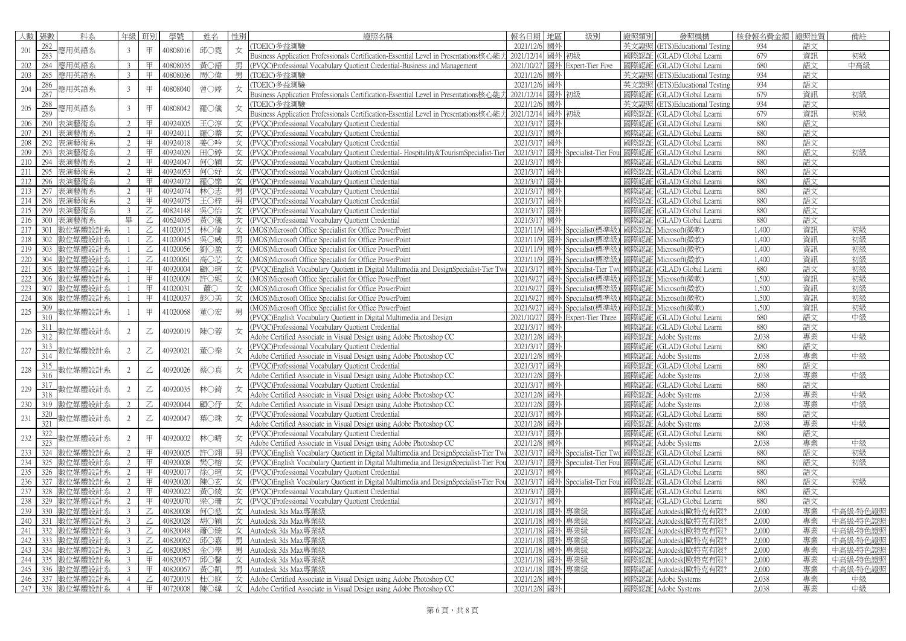| 人數  | 張數         | 科系          | 年級             | 班別             | 學號       | 姓名  | 性別 | 證照名稱                                                                                                           | 地區<br>報名日期      | 級別                               | 證照類別 | 發照機構                          | 核發報名費金額 | 證照性質 | 備註       |
|-----|------------|-------------|----------------|----------------|----------|-----|----|----------------------------------------------------------------------------------------------------------------|-----------------|----------------------------------|------|-------------------------------|---------|------|----------|
|     | 282        |             |                |                |          |     |    | (TOEIC)多益測驗                                                                                                    | 2021/12/6<br>國外 |                                  |      | 英文證照 (ETS)Educational Testing | 934     | 語文   |          |
| 201 | 283        | 應用英語系       | 3              | 甲              | 40808016 | 邱○霓 | 女  | Business Application Professionals Certification-Essential Level in Presentations核心能                           | 2021/12/14      | 國外 初級                            | 國際認証 | (GLAD) Global Learni          | 679     | 資訊   | 初級       |
| 202 | 284        | 應用英語系       |                | 甲              | 40808035 | 黃○語 | 男  | (PVOC)Professional Vocabulary Quotient Credential-Business and Management                                      | 2021/10/27      | 國外 Expert-Tier Five              | 國際認証 | (GLAD) Global Learni          | 680     | 語文   | 中高級      |
| 203 | 285        | 應用英語系       |                | 甲              | 40808036 | 周○偉 | 男  | (TOEIC)多益測驗                                                                                                    | 2021/12/6<br>國外 |                                  | 英文證照 | (ETS)Educational Testing      | 934     | 語文   |          |
|     |            |             |                |                |          |     |    |                                                                                                                | 國外<br>2021/12/6 |                                  | 英文證照 |                               | 934     | 語文   |          |
| 204 | 286<br>287 | 應用英語系       | 3              | 甲              | 40808040 | 曾○婷 | 女  | (TOEIC)多益測驗                                                                                                    |                 |                                  |      | (ETS)Educational Testing      |         |      |          |
|     |            |             |                |                |          |     |    | Business Application Professionals Certification-Essential Level in Presentations核心能                           | 2021/12/14      | 國外 初級                            | 國際認言 | (GLAD) Global Learni          | 679     | 資訊   | 初級       |
| 205 | 288        | 嶲用英語系       | 3              | 甲              | 40808042 | 羅○儀 | 女  | (TOEIC)多益測驗                                                                                                    | 2021/12/6<br>國外 |                                  | 英文證照 | (ETS)Educational Testing      | 934     | 語文   |          |
|     | 289        |             |                |                |          |     |    | Business Application Professionals Certification-Essential Level in Presentations核心能                           | 2021/12/14      | 國外初級                             | 國際認証 | (GLAD) Global Learni          | 679     | 資訊   | 初級       |
| 206 | 290        | 表演藝術系       | $\mathfrak{D}$ | 甲              | 40924005 | 王〇淳 |    | 女 (PVOC)Professional Vocabulary Quotient Credential                                                            | 2021/3/17<br>國外 |                                  | 國際認証 | (GLAD) Global Learni          | 880     | 語文   |          |
| 207 | 291        | 表演藝術系       | $\mathfrak{D}$ | 甲              | 40924011 | 羅〇蓁 |    | 女 (PVOC)Professional Vocabulary Quotient Credential                                                            | 2021/3/17<br>國外 |                                  | 國際認証 | (GLAD) Global Learni          | 880     | 語文   |          |
| 208 | 292        | 表演藝術系       | $\mathfrak{D}$ | 甲              | 40924018 | 姜○吟 |    | 女 (PVQC)Professional Vocabulary Quotient Credential                                                            | 國外<br>2021/3/17 |                                  | 國際認証 | (GLAD) Global Learni          | 880     | 語文   |          |
| 209 | 293        | 表演藝術系       | 2              | 甲              | 40924029 | 田〇婷 |    | 女 (PVQC)Professional Vocabulary Quotient Credential-Hospitality&TourismSpecialist-Tien                         | 2021/3/17       | 國外 Specialist-Tier Fou           | 國際認証 | (GLAD) Global Learni          | 880     | 語文   | 初級       |
| 210 | 294        | 表演藝術系       |                | 甲              | 40924047 | 何○穎 |    | 女 (PVQC)Professional Vocabulary Quotient Credential                                                            | 2021/3/17<br>國外 |                                  | 國際認証 | (GLAD) Global Learni          | 880     | 語文   |          |
| 211 | 295        | 表演藝術系       | $\mathfrak{D}$ | 甲              | 40924053 | 何○妤 |    | 女 (PVQC)Professional Vocabulary Quotient Credential                                                            | 國外<br>2021/3/17 |                                  | 國際認言 | (GLAD) Global Learni          | 880     | 語文   |          |
| 212 | 296        | 表演藝術系       | $\mathfrak{D}$ | 甲              | 40924072 | 羅〇樂 |    | 女 (PVOC)Professional Vocabulary Quotient Credential                                                            | 2021/3/17<br>國外 |                                  | 國際認証 | (GLAD) Global Learni          | 880     | 語文   |          |
| 213 | 297        | 表演藝術系       | $\mathcal{D}$  | 甲              | 40924074 | 林〇志 |    | 男 (PVOC)Professional Vocabulary Quotient Credential                                                            | 2021/3/17<br>國外 |                                  | 國際認証 | (GLAD) Global Learni          | 880     | 語文   |          |
| 214 | 298        | 表演藝術系       | 2              | 甲              | 40924075 | 王〇梓 |    | 男 (PVQC)Professional Vocabulary Quotient Credential                                                            | 2021/3/17<br>國外 |                                  | 國際認証 | (GLAD) Global Learni          | 880     | 語文   |          |
| 215 |            |             | $\mathcal{L}$  | Z              |          |     |    |                                                                                                                |                 |                                  |      |                               | 880     |      |          |
|     | 299        | 表演藝術系       |                |                | 40824148 | 吳〇怡 |    | 女 (PVQC)Professional Vocabulary Quotient Credential                                                            | 2021/3/17<br>國外 |                                  | 國際認証 | (GLAD) Global Learni          |         | 語文   |          |
| 216 | 300        | 表演藝術系       | 畢              | Z              | 40624095 | 黃○儀 |    | 女 (PVQC)Professional Vocabulary Quotient Credential                                                            | 2021/3/17<br>國外 |                                  | 國際認証 | (GLAD) Global Learni          | 880     | 語文   |          |
| 217 | 301        | 數位媒體設計系     |                | Z              | 41020015 | 林○倫 |    | 女 (MOS)Microsoft Office Specialist for Office PowerPoint                                                       | 2021/11/9       | 國外 Specialist(標準級                | 國際認証 | Microsoft(微軟)                 | 1,400   | 資訊   | 初級       |
| 218 | 302        | 數位媒體設計系     |                | Z              | 41020045 | 吳○威 |    | 男 (MOS)Microsoft Office Specialist for Office PowerPoint                                                       | 2021/11/9       | 國外 Specialist(標準級                | 國際認証 | Microsoft(微軟)                 | 1,400   | 資訊   | 初級       |
| 219 | 303        | 數位媒體設計系     |                | Z              | 41020056 | 劉〇盈 |    | 女 (MOS)Microsoft Office Specialist for Office PowerPoint                                                       | 2021/11/9       | 國外 Specialist(標準級                | 國際認証 | Microsoft(微軟)                 | 1,400   | 資訊   | 初級       |
| 220 | 304        | 數位媒體設計系     |                | Z              | 41020061 | 高〇芯 |    | 女 (MOS)Microsoft Office Specialist for Office PowerPoint                                                       | 2021/11/9       | 國外 Specialist(標準級                | 國際認証 | Microsoft(微軟)                 | 1,400   | 資訊   | 初級       |
| 221 | 305        | 數位媒體設計系     |                | 甲              | 40920004 | 顧〇瑄 |    | 女 (PVQC)English Vocabulary Quotient in Digital Multimedia and DesignSpecialist-Tier Tw                         | 2021/3/17       | 國外 Specialist-Tier Tw            | 國際認証 | (GLAD) Global Learni          | 880     | 語文   | 初級       |
| 222 | 306        | 數位媒體設計系     |                | 甲              | 41020009 | 許〇妮 |    | 女 (MOS)Microsoft Office Specialist for Office PowerPoint                                                       | 2021/9/27       | 國外 Specialist(標準級                | 國際認証 | Microsoft(微軟)                 | 1,500   | 資訊   | 初級       |
| 223 | 307        | 數位媒體設計系     |                | 甲              | 41020031 | 蕭C  |    | 女 (MOS)Microsoft Office Specialist for Office PowerPoint                                                       | 2021/9/27       | 國外 Specialist(標準級                | 國際認訂 | Microsoft(微軟)                 | 1,500   | 資訊   | 初級       |
| 224 | 308        | 數位媒體設計系     |                | 甲              | 41020037 | 彭〇美 |    | 女 (MOS)Microsoft Office Specialist for Office PowerPoint                                                       |                 | 2021/9/27 國外 Specialist(標準級)     | 國際認証 | Microsoft(微軟)                 | 1,500   | 資訊   | 初級       |
|     | 309        |             |                |                |          |     |    | (MOS)Microsoft Office Specialist for Office PowerPoint                                                         |                 | 2021/9/27 國外 Specialist(標準級      | 國際認証 | Microsoft(微軟)                 | 1,500   | 資訊   | 初級       |
| 225 | 310        | 数位媒體設計系     |                | 甲              | 41020068 | 董〇宏 | 男  | (PVQC)English Vocabulary Quotient in Digital Multimedia and Design                                             | 2021/10/27      | 國外 Expert-Tier Three             | 國際認証 | (GLAD) Global Learni          | 680     | 語文   | 中級       |
|     | 311        |             |                |                |          |     |    | (PVQC)Professional Vocabulary Quotient Credential                                                              | 2021/3/17<br>國外 |                                  | 國際認証 | (GLAD) Global Learni          | 880     | 語文   |          |
| 226 | 312        | 數位媒體設計系     | 2              | $\mathbb Z$    | 40920019 | 陳○蓉 | 女  |                                                                                                                | 2021/12/8<br>國外 |                                  | 國際認証 | Adobe Systems                 | 2.038   | 專業   | 中級       |
|     |            |             |                |                |          |     |    | Adobe Certified Associate in Visual Design using Adobe Photoshop CC                                            |                 |                                  |      |                               |         |      |          |
| 227 | 313        | 數位媒體設計系     | 2              | $\overline{z}$ | 40920021 | 董〇秦 |    | (PVQC)Professional Vocabulary Quotient Credential                                                              | 國外<br>2021/3/17 |                                  | 國際認証 | (GLAD) Global Learni          | 880     | 語文   |          |
|     | 314        |             |                |                |          |     |    | Adobe Certified Associate in Visual Design using Adobe Photoshop CC                                            | 2021/12/8<br>國外 |                                  | 國際認証 | Adobe Systems                 | 2.038   | 專業   | 中級       |
| 228 | 315        | 数位媒體設計系     | $\overline{2}$ | $\overline{C}$ | 40920026 | 蔡○真 |    | (PVQC)Professional Vocabulary Quotient Credential                                                              | 國外<br>2021/3/17 |                                  | 國際認言 | (GLAD) Global Learni          | 880     | 語文   |          |
|     | 316        |             |                |                |          |     |    | Adobe Certified Associate in Visual Design using Adobe Photoshop CC                                            | 2021/12/8<br>國外 |                                  | 國際認証 | Adobe Systems                 | 2.038   | 專業   | 中級       |
| 229 | 317        | 數位媒體設計系     | 2              | $\mathbb Z$    | 40920035 | 林○錡 |    | (PVQC)Professional Vocabulary Quotient Credential                                                              | 2021/3/17<br>國外 |                                  | 國際認前 | (GLAD) Global Learni          | 880     | 語文   |          |
|     | 318        |             |                |                |          |     |    | Adobe Certified Associate in Visual Design using Adobe Photoshop CC                                            | 2021/12/8<br>國外 |                                  | 國際認証 | Adobe Systems                 | 2.038   | 專業   | 中級       |
| 230 | 319        | 數位媒體設計系     |                | Z              | 40920044 | 顧〇仔 | 女  | Adobe Certified Associate in Visual Design using Adobe Photoshop CC                                            | 2021/12/8<br>國外 |                                  | 國際認証 | Adobe Systems                 | 2.038   | 專業   | 中級       |
|     | 320        |             |                |                |          |     |    | (PVQC)Professional Vocabulary Quotient Credential                                                              | 2021/3/17<br>國外 |                                  | 國際認証 | (GLAD) Global Learni          | 880     | 語文   |          |
| 231 | 321        | 數位媒體設計系     | 2              | $\overline{z}$ | 40920047 | 葉○珠 | 女  | Adobe Certified Associate in Visual Design using Adobe Photoshop CC                                            | 國外<br>2021/12/8 |                                  | 國際認証 | Adobe Systems                 | 2.038   | 專業   | 中級       |
|     | 322        |             |                |                |          |     |    | (PVOC)Professional Vocabulary Ouotient Credential                                                              | 國外<br>2021/3/17 |                                  | 國際認証 | (GLAD) Global Learni          | 880     | 語文   |          |
| 232 | 323        | 數位媒體設計系     | 2              | 甲              | 40920002 | 林○晴 |    | Adobe Certified Associate in Visual Design using Adobe Photoshop CC                                            | 國外<br>2021/12/8 |                                  | 國際認証 | Adobe Systems                 | 2.038   | 專業   | 中級       |
| 233 | 324        | 數位媒體設計系     |                | 甲              | 40920005 | 許〇翊 | 男  | (PVQC)English Vocabulary Quotient in Digital Multimedia and DesignSpecialist-Tier Tw                           | 2021/3/17       | 國外 Specialist-Tier Tv            | 國際認訂 | (GLAD) Global Learni          | 880     | 語文   | 初級       |
| 234 | 325        | 散位媒體設計系     |                | 甲              | 40920008 | 樊○榕 |    |                                                                                                                |                 | 2021/3/17 國外 Specialist-Tier Fou | 國際認証 |                               | 880     | 語文   | 初級       |
|     |            |             |                |                |          |     |    | 女 (PVQC)English Vocabulary Quotient in Digital Multimedia and DesignSpecialist-Tier Fou                        |                 |                                  |      | (GLAD) Global Learni          |         |      |          |
| 235 | 326        | 數位媒體設計系     |                | 甲              | 40920017 | 徐○瑄 |    | 女 (PVQC)Professional Vocabulary Quotient Credential                                                            | 2021/3/17<br>國外 |                                  | 國際認証 | (GLAD) Global Learni          | 880     | 語文   |          |
| 236 | 327        | 數位媒體設計系     |                | 甲              | 40920020 | 陳〇玄 |    | $\overline{\mathcal{L}}$ (PVQC)English Vocabulary Quotient in Digital Multimedia and DesignSpecialist-Tier Fou | 2021/3/17       | 國外 Specialist-Tier Fou           | 國際認前 | (GLAD) Global Learni          | 880     | 語文   | 初級       |
| 237 | 328        | 數位媒體設計系     |                | 甲              | 40920022 | 黃○綾 |    | 女 (PVQC)Professional Vocabulary Quotient Credential                                                            | 2021/3/17<br>國外 |                                  | 國際認証 | (GLAD) Global Learni          | 880     | 語文   |          |
| 238 | 329        | 數位媒體設計系     |                | 甲              | 40920070 | 梁○珊 |    | 女 (PVOC)Professional Vocabulary Quotient Credential                                                            | 國外<br>2021/3/17 |                                  | 國際認証 | (GLAD) Global Learni          | 880     | 語文   |          |
| 239 | 330        | 數位媒體設計系     |                | $\overline{Z}$ | 40820008 | 何○慈 |    | 女 Autodesk 3ds Max專業級                                                                                          | 2021/1/18       | 國外 專業級                           | 國際認証 | Autodesk[歐特克有限?               | 2.000   | 專業   | 中高級-特色證照 |
| 240 | 331        | 數位媒體設計系     | $\mathcal{L}$  | Ζ              | 40820028 | 胡○穎 |    | 女 Autodesk 3ds Max專業級                                                                                          | 2021/1/18       | 國外 專業級                           | 國際認証 | Autodesk[歐特克有限?               | 2,000   | 專業   | 中高級-特色證照 |
| 241 | 332        | 數位媒體設計系     |                | $\mathbb Z$    | 40820048 | 蕭〇臻 |    | 女 Autodesk 3ds Max專業級                                                                                          | 2021/1/18       | 國外專業級                            | 國際認証 | Autodesk[歐特克有限?               | 2,000   | 專業   | 中高級-特色證照 |
| 242 | 333        | 數位媒體設計系     |                | Z              | 40820062 | 邱○嘉 |    | 男 Autodesk 3ds Max專業級                                                                                          | 2021/1/18       | 國外 專業級                           | 國際認証 | Autodesk[歐特克有限?               | 2,000   | 專業   | 中高級-特色證照 |
| 243 | 334        | 數位媒體設計系     | $\mathcal{L}$  | Z              | 40820085 | 金○學 |    | 男 Autodesk 3ds Max專業級                                                                                          | 2021/1/18       | 國外 專業級                           | 國際認証 | Autodesk[歐特克有限?               | 2,000   | 專業   | 中高級-特色證照 |
| 244 | 335        | 數位媒體設計系     |                | 甲              | 40820057 | 邱○馨 |    | 女 Autodesk 3ds Max專業級                                                                                          | 2021/1/18       | 國外專業級                            | 國際認証 | Autodesk[歐特克有限?               | 2.000   | 專業   | 中高級-特色證照 |
| 245 | 336        | 數位媒體設計系     |                | 甲              | 40820067 | 黃〇凱 |    | 男 Autodesk 3ds Max專業級                                                                                          | 2021/1/18       | 國外專業級                            | 國際認証 | Autodesk[歐特克有限?               | 2,000   | 專業   | 中高級-特色證照 |
| 246 | 337        | 數位媒體設計系     |                | $\mathbb Z$    | 40720019 | 杜○庭 |    |                                                                                                                | 2021/12/8<br>國外 |                                  | 國際認証 | Adobe Systems                 | 2.038   | 專業   | 中級       |
|     |            |             |                |                |          |     |    | 女 Adobe Certified Associate in Visual Design using Adobe Photoshop CC                                          |                 |                                  |      |                               | 2.038   |      | 中級       |
| 247 |            | 338 數位媒體設計系 | $\overline{4}$ | 甲              | 40720008 | 陳○緯 |    | $\pm \pm \sqrt{2}$ Adobe Certified Associate in Visual Design using Adobe Photoshop CC                         | 2021/12/8 國外    |                                  |      | 國際認証 Adobe Systems            |         | 專業   |          |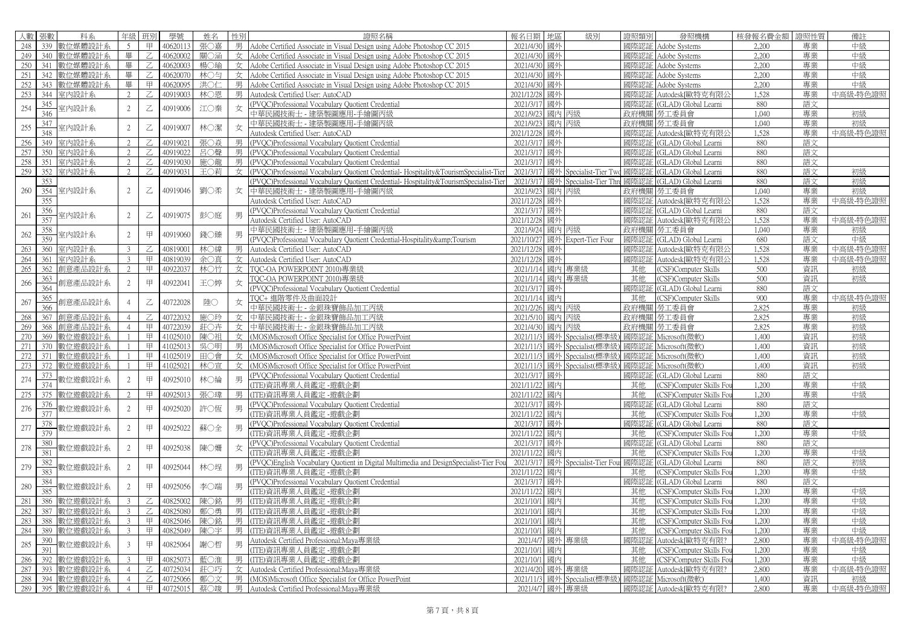|     | 人數 張數 | 科系              | 年級                       | 班別                                                                                                                                                                              | 學號       | 姓名  | 性別 | 證照名稱                                                                                 | 報名日期 地區          |       | 級別                               | 證照類別 | 發照機構                     | 核發報名費金額 | 證照性質 | 備註       |
|-----|-------|-----------------|--------------------------|---------------------------------------------------------------------------------------------------------------------------------------------------------------------------------|----------|-----|----|--------------------------------------------------------------------------------------|------------------|-------|----------------------------------|------|--------------------------|---------|------|----------|
| 248 |       | 339 數位媒體設計系     | 5                        | 甲                                                                                                                                                                               | 40620113 | 張○嘉 |    | 男 Adobe Certified Associate in Visual Design using Adobe Photoshop CC 2015           | 2021/4/30 國外     |       |                                  | 國際認証 | Adobe Systems            | 2.200   | 專業   | 中級       |
| 249 | 340   | 數位媒體設計系         | 畢                        | $\mathbb Z$                                                                                                                                                                     | 40620002 | 關〇涵 |    | Adobe Certified Associate in Visual Design using Adobe Photoshop CC 2015             | 2021/4/30        | 國外    |                                  | 國際認証 | Adobe Systems            | 2,200   | 專業   | 中級       |
| 250 | 341   | 數位媒體設計系         | 畢                        | Z                                                                                                                                                                               | 40620003 | 楊〇瑜 |    | 女 Adobe Certified Associate in Visual Design using Adobe Photoshop CC 2015           | 2021/4/30        | 國外    |                                  | 國際認証 | Adobe Systems            | 2.200   | 專業   | 中級       |
| 251 |       | 342 數位媒體設計系     | 畢                        | Z                                                                                                                                                                               | 40620070 | 林〇匀 |    | Adobe Certified Associate in Visual Design using Adobe Photoshop CC 2015             | 2021/4/30        | 國外    |                                  | 國際認証 | Adobe Systems            | 2,200   | 專業   | 中級       |
| 252 |       | 343 數位媒體設計系     | 畢                        | 甲                                                                                                                                                                               | 40620095 | 洪〇仁 |    | 男 Adobe Certified Associate in Visual Design using Adobe Photoshop CC 2015           | 2021/4/30        | 國外    |                                  | 國際認証 | Adobe Systems            | 2,200   | 專業   | 中級       |
| 253 |       | 344 室内設計系       | $\overline{\mathcal{L}}$ | Z                                                                                                                                                                               | 40919003 | 林○恩 | 男  | Autodesk Certified User: AutoCAD                                                     | 2021/12/28       | 國外    |                                  | 國際認証 | Autodesk[歐特克有限么          | 1.528   | 專業   | 中高級-特色證照 |
| 254 | 345   | 室内設計系           | 2                        | $\mathbb Z$                                                                                                                                                                     | 40919006 | 江〇秦 | 女  | (PVQC)Professional Vocabulary Quotient Credential                                    | 2021/3/17        | 國外    |                                  | 國際認証 | (GLAD) Global Learni     | 880     | 語文   |          |
|     | 346   |                 |                          |                                                                                                                                                                                 |          |     |    | 中華民國技術士 - 建築製圖應用-手繪圖丙級                                                               | 2021/9/23        | 國內    | 丙級                               |      | 政府機關   勞工委員會             | 1,040   | 專業   | 初級       |
| 255 | 347   | 室内設計系           | 2                        | $\mathsf{Z}% _{T}=\mathsf{Z}_{T}\!\left( a,b\right) ,\ \mathsf{Z}_{T}=\mathsf{Z}_{T}\!\left( a,b\right) ,\ \mathsf{Z}_{T}=\mathsf{Z}_{T}\!\left( a,b\right) , \label{eq-qt:Z}%$ | 40919007 | 林○潔 | 女  | 中華民國技術士 - 建築製圖應用-手繪圖丙級                                                               | 2021/9/23        | 國內 丙級 |                                  | 政府機關 | 勞工委員會                    | 1,040   | 專業   | 初級       |
|     | 348   |                 |                          |                                                                                                                                                                                 |          |     |    | Autodesk Certified User: AutoCAD                                                     | 2021/12/28       | 國外    |                                  | 國際認証 | Autodesk[歐特克有限2          | 1,528   | 專業   | 中高級-特色證照 |
| 256 | 349   | 室内設計系           | 2                        | Z                                                                                                                                                                               | 40919021 | 張〇焱 | 男  | (PVQC)Professional Vocabulary Quotient Credential                                    | 2021/3/17 國外     |       |                                  | 國際認証 | (GLAD) Global Learni     | 880     | 語文   |          |
| 257 | 350   | 室内設計系           | 2                        | Ζ                                                                                                                                                                               | 40919022 | 呂○聲 | 男  | (PVQC)Professional Vocabulary Quotient Credential                                    | 2021/3/17        | 國外    |                                  | 國際認証 | (GLAD) Global Learni     | 880     | 語文   |          |
| 258 | 351   | 室内設計系           | $\mathfrak{D}$           | Z                                                                                                                                                                               | 40919030 | 施○龍 |    | 男 (PVOC)Professional Vocabulary Quotient Credential                                  | 2021/3/17 國外     |       |                                  | 國際認言 | (GLAD) Global Learni     | 880     | 語文   |          |
| 259 |       | 352 室内設計系       | $\overline{2}$           | Z                                                                                                                                                                               | 40919031 | 玉〇莉 | 女  | (PVQC)Professional Vocabulary Quotient Credential-Hospitality&TourismSpecialist-Tier | 2021/3/17        |       | 國外 Specialist-Tier Tw            | 國際認証 | (GLAD) Global Learni     | 880     | 語文   | 初級       |
|     | 353   |                 |                          |                                                                                                                                                                                 |          |     |    | PVOC)Professional Vocabulary Quotient Credential-Hospitality&TourismSpecialist-Tier  | 2021/3/17        |       | 國外 Specialist-Tier Thr           | 國際認証 | (GLAD) Global Learni     | 880     | 語文   | 初級       |
| 260 | 354   | 室内設計系           | 2                        | Z                                                                                                                                                                               | 40919046 | 劉〇柔 | 女  | 中華民國技術士 - 建築製圖應用-手繪圖丙級                                                               | 2021/9/23        |       | 國內丙級                             | 政府機關 | 勞工委員會                    | 1,040   | 專業   | 初級       |
|     | 355   |                 |                          |                                                                                                                                                                                 |          |     |    | Autodesk Certified User: AutoCAD                                                     | 2021/12/28 國外    |       |                                  | 國際認証 | Autodesk[歐特克有限2          | 1.528   | 專業   | 中高級-特色證照 |
| 261 | 356   |                 | 2                        | $\mathbb Z$                                                                                                                                                                     | 40919075 | 彭〇庭 | 男  | (PVQC)Professional Vocabulary Quotient Credential                                    | 2021/3/17 國外     |       |                                  | 國際認証 | (GLAD) Global Learni     | 880     | 語文   |          |
|     | 357   | 室内設計系           |                          |                                                                                                                                                                                 |          |     |    | Autodesk Certified User: AutoCAD                                                     | 2021/12/28       | 國外    |                                  | 國際認証 | Autodesk「歐特克有限」          | 1.528   | 專業   | 中高級-特色證照 |
|     | 358   |                 | $\mathfrak{D}$           |                                                                                                                                                                                 |          | 錢○臻 | 男  | 中華民國技術士 - 建築製圖應用-手繪圖丙級                                                               | 2021/9/24 國內 丙級  |       |                                  | 政府機關 | 勞工委員會                    | 1.040   | 專業   | 初級       |
| 262 | 359   | 室内設計系           |                          | 甲                                                                                                                                                                               | 40919060 |     |    | (PVOC)Professional Vocabulary Quotient Credential-Hospitality&Tourism                |                  |       | 2021/10/27 國外 Expert-Tier Four   | 國際認証 | (GLAD) Global Learni     | 680     | 語文   | 中級       |
| 263 | 360   | 室内設計系           | $\mathcal{R}$            | Z                                                                                                                                                                               | 40819001 | 林○緯 | 男  | Autodesk Certified User: AutoCAD                                                     | 2021/12/28       | 國外    |                                  | 國際認証 | Autodesk[歐特克有限2          | 1,528   | 專業   | 中高級-特色證照 |
| 264 | 361   | 室内設計系           | 3                        | 甲                                                                                                                                                                               | 40819039 | 余〇真 |    | 女 Autodesk Certified User: AutoCAD                                                   | 2021/12/28 國外    |       |                                  | 國際認証 | Autodesk[歐特克有限/          | 1,528   | 專業   | 中高級-特色證照 |
| 265 | 362   | 創意產品設計系         | 2                        | 甲                                                                                                                                                                               | 40922037 | 林○竹 |    | 女 TOC-OA POWERPOINT 2010)專業級                                                         | 2021/1/14 國內 專業級 |       |                                  | 其他   | (CSF)Computer Skills     | 500     | 資訊   | 初級       |
|     | 363   |                 |                          |                                                                                                                                                                                 |          |     |    | TQC-OA POWERPOINT 2010)專業級                                                           | 2021/1/14 國內 專業級 |       |                                  | 其他   | (CSF)Computer Skills     | 500     | 資訊   | 初級       |
| 266 | 364   | 創意產品設計系         | 2                        | 甲                                                                                                                                                                               | 40922041 | 王〇婷 | 女  | (PVOC)Professional Vocabulary Quotient Credential                                    | 2021/3/17        | 國外    |                                  | 國際認証 | (GLAD) Global Learni     | 880     | 語文   |          |
|     | 365   |                 |                          |                                                                                                                                                                                 |          |     |    | TQC+ 進階零件及曲面設計                                                                       | 2021/1/14 國內     |       |                                  | 其他   | (CSF)Computer Skills     | 900     | 專業   | 中高級-特色證照 |
| 267 | 366   | 削意產品設計系         |                          | $\mathsf{Z}% _{T}=\mathsf{Z}_{T}\!\left( a,b\right) ,\ \mathsf{Z}_{T}=\mathsf{Z}_{T}\!\left( a,b\right) ,\ \mathsf{Z}_{T}=\mathsf{Z}_{T}\!\left( a,b\right) , \label{eq-qt:Z}%$ | 40722028 | 陸〇  | 女  | 中華民國技術士 - 金銀珠寶飾品加工丙級                                                                 | 2021/2/26        | 國內 丙級 |                                  | 政府機關 | 勞工委員會                    | 2,825   | 專業   | 初級       |
| 268 | 367   | 創意產品設計系         |                          | Z                                                                                                                                                                               | 40722032 | 施○玲 |    | 女 中華民國技術士 - 金銀珠寶飾品加工丙級                                                               | 2021/5/10 國內 丙級  |       |                                  | 政府機關 | 勞工委員會                    | 2.825   | 專業   | 初級       |
| 269 | 368   | 創意產品設計系         |                          | 甲                                                                                                                                                                               | 40722039 | 莊○卉 |    | 女 中華民國技術士 - 金銀珠寶飾品加工丙級                                                               | 2021/4/30 國內 丙級  |       |                                  | 政府機關 | 勞工委員會                    | 2.825   | 專業   | 初級       |
| 270 | 369   | 數位遊戲設計系         |                          | 甲                                                                                                                                                                               | 41025010 | 陳〇祖 |    | 女 (MOS)Microsoft Office Specialist for Office PowerPoint                             |                  |       | 2021/11/3 國外 Specialist(標準級      | 國際認証 | Microsoft(微軟)            | 1,400   | 資訊   | 初級       |
| 271 | 370   | 數位遊戲設計系         |                          | 甲                                                                                                                                                                               | 41025013 | 吳○明 |    | 男 (MOS)Microsoft Office Specialist for Office PowerPoint                             |                  |       | 2021/11/3 國外 Specialist(標準級      | 國際認証 | Microsoft(微軟)            | 1,400   | 資訊   | 初級       |
| 272 | 371   | 數位遊戲設計系         |                          | 甲                                                                                                                                                                               | 41025019 | 田〇會 | 女  | (MOS)Microsoft Office Specialist for Office PowerPoint                               | 2021/11/3        |       | 國外 Specialist(標準約                | 國際認証 | Microsoft(微軟)            | 1,400   | 資訊   | 初級       |
| 273 | 372   | 數位游戲設計系         |                          | 甲                                                                                                                                                                               | 41025021 | 林○宣 |    | 女 (MOS)Microsoft Office Specialist for Office PowerPoint                             |                  |       | 2021/11/3 國外 Specialist(標準級      | 國際認証 | Microsoft(微軟)            | 1.400   | 資訊   | 初級       |
| 274 | 373   |                 | $\mathfrak{D}$           | 甲                                                                                                                                                                               | 40925010 | 林○綸 | 男  | (PVQC)Professional Vocabulary Quotient Credential                                    | 2021/3/17 國外     |       |                                  | 國際認証 | (GLAD) Global Learni     | 880     | 語文   |          |
|     | 374   | 数位遊戲設計系         |                          |                                                                                                                                                                                 |          |     |    | ITE)資訊專業人員鑑定 -游戲企劃                                                                   | 2021/11/22       | 國內    |                                  | 其他   | (CSF)Computer Skills Fou | 1.200   | 專業   | 中級       |
| 275 | 375   | 數位遊戲設計系         | $\mathcal{L}$            | 甲                                                                                                                                                                               | 4092501  | 張○瑋 | 男  | (ITE)資訊專業人員鑑定 -遊戲企劃                                                                  | 2021/11/22 國內    |       |                                  | 其他   | CSF)Computer Skills For  | 1.200   | 專業   | 中級       |
|     | 376   |                 |                          |                                                                                                                                                                                 |          |     | 男  | (PVQC)Professional Vocabulary Quotient Credential                                    | 2021/3/17 國外     |       |                                  | 國際認証 | (GLAD) Global Learni     | 880     | 語文   |          |
| 276 | 377   | 數位遊戲設計系         | 2                        | 甲                                                                                                                                                                               | 40925020 | 許〇恆 |    | ITE)資訊專業人員鑑定 -遊戲企劃                                                                   | 2021/11/22 國內    |       |                                  | 其他   | (CSF)Computer Skills Fou | 1,200   | 專業   | 中級       |
| 277 | 378   | 數位遊戲設計系         | 2                        |                                                                                                                                                                                 | 40925022 | 蘇〇全 | 男  | (PVOC)Professional Vocabulary Quotient Credential                                    | 2021/3/17 國外     |       |                                  | 國際認証 | (GLAD) Global Learni     | 880     | 語文   |          |
|     | 379   |                 |                          | 甲                                                                                                                                                                               |          |     |    | ITE)資訊專業人員鑑定 -遊戲企劃                                                                   | 2021/11/22 國內    |       |                                  | 其他   | (CSF)Computer Skills Fou | 1,200   | 專業   | 中級       |
| 278 | 380   | 数位遊戲設計系         | 2                        | 甲                                                                                                                                                                               | 40925038 | 陳○姍 | 女  | (PVQC)Professional Vocabulary Quotient Credential                                    | 2021/3/17 國外     |       |                                  | 國際認証 | (GLAD) Global Learni     | 880     | 語文   |          |
|     | 381   |                 |                          |                                                                                                                                                                                 |          |     |    | ITE)資訊專業人員鑑定 -游戲企劃                                                                   | 2021/11/22       | 國內    |                                  | 其他   | CSF)Computer Skills For  | 1,200   | 專業   | 中級       |
| 279 | 382   | 數位遊戲設計系         | 2                        | 甲                                                                                                                                                                               | 40925044 | 林○埕 | 男  | PVQC)English Vocabulary Quotient in Digital Multimedia and DesignSpecialist-Tier Fou |                  |       | 2021/3/17 國外 Specialist-Tier Fou | 國際認証 | (GLAD) Global Learni     | 880     | 語文   | 初級       |
|     | 383   |                 |                          |                                                                                                                                                                                 |          |     |    | (ITE)資訊專業人員鑑定 -遊戲企劃                                                                  | 2021/11/22       | 國內    |                                  | 其他   | (CSF)Computer Skills For | 1,200   | 專業   | 中級       |
|     | 384   |                 |                          | 甲                                                                                                                                                                               |          |     |    | (PVQC)Professional Vocabulary Quotient Credential                                    | 2021/3/17 國外     |       |                                  | 國際認言 | (GLAD) Global Learni     | 880     | 語文   |          |
| 280 | 385   | 数位遊戲設計系         | 2                        |                                                                                                                                                                                 | 40925056 | 李〇端 |    | ITE)資訊專業人員鑑定 -遊戲企劃                                                                   | 2021/11/22 國內    |       |                                  | 其他   | CSF)Computer Skills Fou  | 1,200   | 專業   | 中級       |
| 281 | 386   | 數位游戲設計系         | 3                        | Z                                                                                                                                                                               | 40825002 | 陳〇銘 | 男  | ITE)資訊專業人員鑑定 -遊戲企劃                                                                   | 2021/10/1 國內     |       |                                  | 其他   | (CSF)Computer Skills Fou | 1,200   | 專業   | 中級       |
| 282 | 387   | 數位遊戲設計系         |                          | Ζ                                                                                                                                                                               | 40825080 | 鄭○勇 | 男  | ITE)資訊專業人員鑑定 -遊戲企劃                                                                   | 2021/10/1 國內     |       |                                  | 其他   | CSF)Computer Skills Fou  | 1.200   | 專業   | 中級       |
| 283 | 388   | 數位遊戲設計系         | $\overline{3}$           | 甲                                                                                                                                                                               | 40825046 | 陳〇銘 | 男  | ITE)資訊專業人員鑑定 -遊戲企劃                                                                   | 2021/10/1        | 國內    |                                  | 其他   | (CSF)Computer Skills Fou | 1,200   | 專業   | 中級       |
| 284 | 389   | 數位遊戲設計系         | $\mathcal{E}$            | 甲                                                                                                                                                                               | 40825049 | 陳〇宇 | 男  | (ITE)資訊專業人員鑑定 -遊戲企劃                                                                  | 2021/10/1 國內     |       |                                  | 其他   | (CSF)Computer Skills Fou | 1,200   | 專業   | 中級       |
| 285 | 390   |                 | 3                        | 甲                                                                                                                                                                               | 40825064 |     | 男  | Autodesk Certified Professional:Maya專業級                                              | 2021/4/7         |       | 國外 專業級                           | 國際認証 | Autodesk[歐特克有限?          | 2,800   | 專業   | 中高級-特色證照 |
|     | 391   | 数位遊戲設計系         |                          |                                                                                                                                                                                 |          | 謝○哲 |    | ITE)資訊專業人員鑑定 -遊戲企劃                                                                   | 2021/10/1 國內     |       |                                  | 其他   | (CSF)Computer Skills Fou | 1,200   | 專業   | 中級       |
| 286 | 392   | 數位遊戲設計系         |                          | 甲                                                                                                                                                                               | 40825073 | 藍○淮 | 男  | (ITE)資訊專業人員鑑定 -遊戲企劃                                                                  | 2021/10/1        | 國內    |                                  | 其他   | CSF)Computer Skills Fou  | 1,200   | 專業   | 中級       |
| 287 | 393   | 數位游戲設計系         | $\overline{4}$           | Z                                                                                                                                                                               | 40725034 | 莊〇巧 | 女  | Autodesk Certified Professional:Maya專業級                                              | 2021/4/20        |       | 國外 專業級                           | 國際認言 | Autodesk[歐特克有限?          | 2,800   | 專業   | 中高級-特色證照 |
| 288 |       | 394 數位遊戲設計系     | $\overline{4}$           | Z                                                                                                                                                                               | 40725066 | 鄭〇文 |    | 男 (MOS)Microsoft Office Specialist for Office PowerPoint                             |                  |       | 2021/11/3 國外 Specialist(標準級      | 國際認証 | Microsoft(微軟)            | 1.400   | 資訊   | 初級       |
|     |       | 289 395 數位遊戲設計系 | 4                        | 甲                                                                                                                                                                               | 40725015 | 蔡○竣 |    | 男 Autodesk Certified Professional:Maya專業級                                            | 2021/4/7 國外 專業級  |       |                                  |      | 國際認証 Autodesk[歐特克有限?     | 2,800   | 專業   | 中高級-特色證照 |